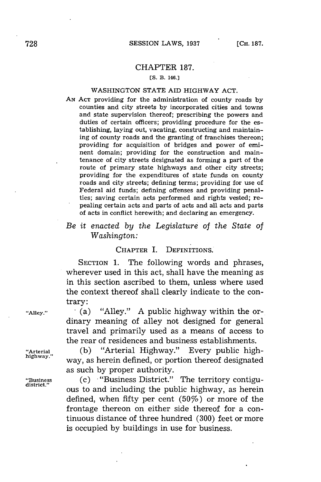#### CHAPTER **187.**

#### **[S. B. 146.]**

### **WASHINGTON STATE AID HIGHWAY ACT.**

**AN ACT providing** for **the administration** of county roads **by** counties and city streets **by** incorporated cities and towns and state supervision thereof; prescribing the powers and duties of certain officers; providing procedure for the establishing, laying out, vacating, constructing and maintaining of county roads and the granting of franchises thereon; providing for acquisition of bridges and power of eminent domain; providing for the construction and maintenance of city streets designated as forming a part of the route of primary state highways and other city streets; providing for the expenditures of state funds on county roads and city streets; defining terms; providing for use of Federal aid funds; defining offenses and providing penalties; saving certain acts performed and rights vested; repealing certain acts and parts of acts and all acts and parts of acts in conflict herewith; and declaring an emergency.

# *Be it enacted by the Legislature of the State of Washington:*

#### **CHAPTER** I. DEFINITIONS.

**SECTION 1.** The following words and phrases, wherever used in this act, shall have the meaning as in this section ascribed to them, unless where used the context thereof shall clearly indicate to the contrary:

**"Alley." .** (a) "Alley." **A** public highway within the ordinary meaning of alley not designed for general travel and primarily used as a means of access to the rear of residences and business establishments.

**"Arterial (b)** "Arterial Highway." Every public high**highway."** way, as herein defined, or portion thereof designated as such **by** proper authority.

**"Business** (c) "Business District." The territory contigu- **district."** ous to and including the public highway, as herein defined, when fifty per cent  $(50\%)$  or more of the frontage thereon on either side thereof for a continuous distance of three hundred **(300)** feet or more is occupied **by** buildings in use for business.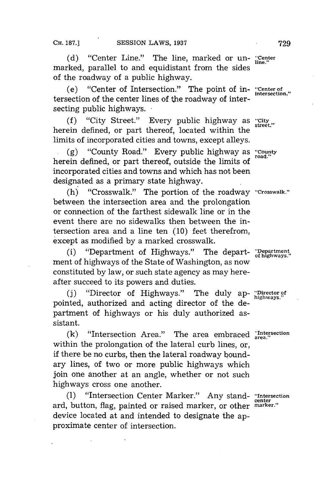**(d)** "Center Line." The line, marked or un- **"Center** marked, parallel to and equidistant from the sides of the roadway of a public highway.

(e) "Center of Intersection." The point of in- **"Center of** tersection of the center lines of the roadway of intersecting public highways. **-**

(f) "City Street." Every public highway as "City herein defined, or part thereof, located within the limits of incorporated cities and towns, except alleys.

**(g)** "County Road." Every public highway as **"County** herein defined, or part thereof, outside the limits of incorporated cities and towns and which has not been designated as a primary state highway.

(h) "Crosswalk." The portion of the roadway **"Crosswalk."** between the intersection area and the prolongation or connection of the farthest sidewalk line or in the event there are no sidewalks then between the intersection area and a line ten **(10)** feet therefrom, except as modified **by** a marked crosswalk.

(i) "Department of Highways." The depart- **"Department of highways."** ment of highways of the State of Washington, as now constituted **by** law, or such state agency as may hereafter succeed to its powers and duties.

**(j)** "Director of Highways." The duly ap- **"Director of highways."** pointed, authorized and acting director of the department of highways or his duly authorized assistant.

**(k)** "Intersection Area." The area embraced **"Intersection** within the prolongation of the lateral curb lines, or, if there be no curbs, then the lateral roadway boundary lines, of two or more public highways which join one another at an angle, whether or not such highways cross one another.

**(1)** "Intersection Center Marker." Any stand- **"Intersection** ard, button, flag, painted or raised marker, or other **marker."** device located at and intended to designate the approximate center of intersection.

**intersection."**

center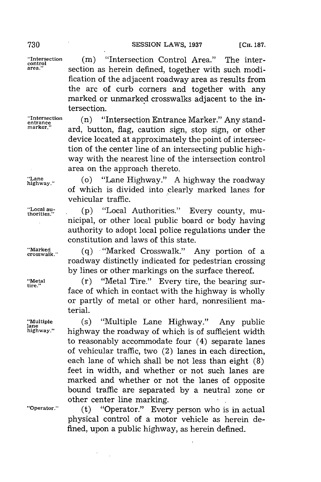**"Intersection** (m) "Intersection Control Area." The inter**area."** section as herein defined, together with such modification of the adjacent roadway area as results from the arc of curb corners and together with any marked or unmarked crosswalks adjacent to the intersection.

**"Intersection** (n) "Intersection Entrance Marker." Any stand- **entrance** ard, button, flag, caution sign, stop sign, or other device located at approximately the point of intersection of the center line of an intersecting public highway with the nearest line of the intersection control area on the approach thereto.

**"Lane** (o) "Lane Highway." **A** highway the roadway of which is divided into clearly marked lanes for vehicular traffic.

"Local au-<br>thorities." (p) "Local Authorities." Every county, municipal, or other local public board or body having authority to adopt local police regulations under the constitution and laws of this state.

**"Marked** ,, **(q)** "Marked Crosswalk." Any portion of a roadway distinctly indicated for pedestrian crossing **by** lines or other markings on the surface thereof.

"Metal (r) "Metal Tire." Every tire, the bearing surface of which in contact with the highway is wholly or partly of metal or other hard, nonresilient material.

**"Multiple** (s) "Multiple Lane Highway." Any public **highway."** highway the roadway of which is of sufficient width to reasonably accommodate four (4) separate lanes of vehicular traffic, two (2) lanes in each direction, each lane of which shall be not less than eight **(8)** feet in width, and whether or not such lanes are marked and whether or not the lanes of opposite bound traffic are separated **by** a neutral zone or other center line marking.

**"Operator."** (t) "Operator." Every person who is in actual physical control of a motor vehicle as herein defined, upon a public highway, as herein defined.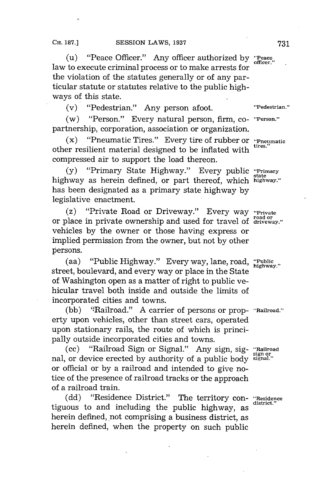(u) "Peace Officer." Any officer authorized **by "Peace** law to execute criminal process or to make arrests for the violation of the statutes generally or of any particular statute or statutes relative to the public highways of this state.

(v) "Pedestrian." Any person afoot. **"Pedestrian."**

(w) "Person." Every natural person, firm, co- **"Person."** partnership, corporation, association or organization.

(x) "Pneumatic Tires." Every tire of rubber or **"Pneumatic** other resilient material designed to be inflated with compressed air to support the load thereon.

(y) "Primary State Highway." Every public "Primary highway as herein defined, or part thereof, which highway." has been designated as a primary state highway **by** legislative enactment.

(z) "Private Road or Driveway." Every way **"Private** or place in private ownership and used for travel of **driveway."** vehicles **by** the owner or those having express or implied permission from the owner, but not **by** other persons.

(aa) "Public Highway." Every way, lane, road, **"Public** street, boulevard, and every way or place in the State of Washington open as a matter of right to public vehicular travel both inside and outside the limits of incorporated cities and towns.

**(bb)** 'Railroad." **A** carrier of persons or prop- **"Railroad."** erty upon vehicles, other than street cars, operated upon stationary rails, the route of which is principally outside incorporated cities and towns.

(cc) "Railroad Sign or Signal." Any sign, **sig- ".Railroad** nal, or device erected by authority of a public body signal." or official or **by** a railroad and intended to give notice of the presence of railroad tracks or the approach of a railroad train.

**(dd)** "Residence District." The territory con- **"Residence** tiguous to and including the public highway, as herein defined, not comprising a business district, as herein defined, when the property on such public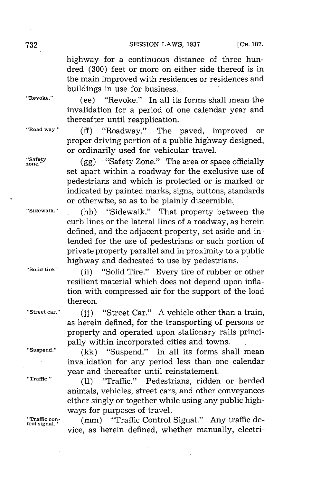highway for a continuous distance of three hundred **(300)** feet or more on either side thereof is in the main improved with residences or residences and buildings in use for business.

**"Revoke."** (ee) "Revoke." In all its forms shall mean the invalidation for a period of one calendar year and thereafter until reapplication.

**'Road way." (ff)** "Roadway." The paved, improved or proper driving portion of a public highway designed, or ordinarily used for vehicular travel.

or ordinarily used for venicular travel.<br>"Safety" (gg) "Safety Zone." The area or space officially" set apart within a roadway for the exclusive use of pedestrians and which is protected or is marked or indicated **by** painted marks, signs, buttons, standards or otherwise, so as to be plainly discernible.

**"Sidewalk." .** (hh) "Sidewalk." That property between the curb lines or the lateral lines of a roadway, as herein defined, and the adjacent property, set aside and intended for the use of pedestrians or such portion of private property parallel and in proximity to a public highway and dedicated to use **by** pedestrians.

**"Solid tire."** (ii) "Solid Tire." Every tire of rubber or other resilient material which does not depend upon inflation with compressed air for the support of the load thereon.

**"Street car." (jj)** "Street Car." **A** vehicle other than a train, as herein defined, for the transporting of persons or property and operated upon stationary rails principally within incorporated cities and towns.

**"Suspend." (kk)** "Suspend." In all its forms shall mean invalidation for any period less than one calendar year and thereafter until reinstatement.

**"Traffic." (11)** "Traffic." Pedestrians, ridden or herded animals, vehicles, street cars, and other conveyances either singly or together while using any public highways for purposes of travel.<br>
(mm) "Traffic Control Signal." Any traffic de-

"Traffic con- **(mm)** "Traffic Control Signal." Any traffic de-<br>
vice, as herein defined, whether manually, electri-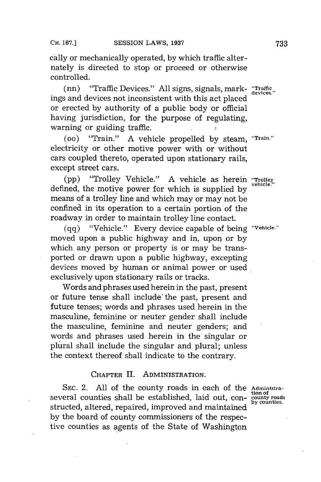cally or mechanically operated, **by** which traffic alternately is directed to stop or proceed or otherwise controlled.

(nn) "Traffic Devices." **All** signs, signals, mark- **"Traffic** ings and devices not inconsistent with this act placed or erected **by** authority of a public body or official having jurisdiction, for the purpose of regulating, warning or guiding traffic.

(oo) "Train." **A** vehicle propelled **by** steam, **"Train.'** electricity or other motive power with or without cars coupled thereto, operated upon stationary rails, except street cars.

**(pp)** "Trolley Vehicle." **A** vehicle as herein **"Troney** defined, the motive power for which is supplied **by** means of a trolley line and which may or may not be confined in its operation to a certain portion of the roadway in order to maintain trolley line contact.

**(qq)** "Vehicle." Every device capable of being **"Vehicle."** moved upon a public highway and in, upon or **by** which any person or property is or may be transported or drawn upon a public highway, excepting devices moved **by** human or animal power or used exclusively upon stationary rails or tracks.

Words and phrases used herein in the past, present or future tense shall include the past, present and future tenses; words and phrases used herein in the masculine, feminine or neuter gender shall include the masculine, feminine and neuter genders; and words and phrases used herein in the singular or plural shall include the singular and plural; unless the context thereof shall indicate to the contrary.

### **CHAPTER** II. **ADMINISTRATION.**

**SEC.** 2. **All** of the county roads in each of the **Administration of** several counties shall be established, laid out, con- **county roads** structed, altered, repaired, improved and maintained **by** the board of county commissioners of the respective counties as agents of the State of Washington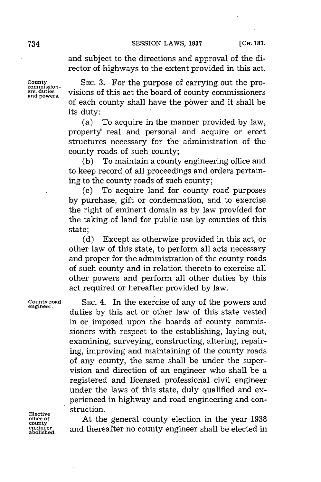#### **SESSION LAWS, 1937 [CH. 187. [CH. 187.**

and subject to the directions and approval of the director of highways to the extent provided in this act.

**county SEC. 3.** For the purpose of carrying out the proers, duties visions of this act the board of county commissioners and powers. of each county shall have the power and it shall be its duty:

> (a) To acquire in the manner provided **by** law, property' real and personal and acquire or erect structures necessary for the administration of the county roads of such county;

> **(b)** To maintain a county engineering office and to keep record of all proceedings and orders pertaining to the county roads of such county;

> (c) To acquire land for county road purposes **by** purchase, gift or condemnation, and to exercise the right of eminent domain as **by** law provided for the taking of land for public use **by** counties of this state;

> **(d)** Except as otherwise provided in this act, or other law of this state, to perform all acts necessary and proper for the administration of the county roads of such county and in relation thereto to exercise all other powers and perform all other duties **by** this act required or hereafter provided **by** law.

**County road** SEC. 4. In the exercise of any of the powers and **engineer.** duties **by** this act or other law of this state vested in or imposed upon the boards of county commissioners with respect to the establishing, laying out, examining, surveying, constructing, altering, repairing, improving and maintaining of the county roads of any county, the same shall be under the supervision and direction of an engineer who shall be a registered and licensed professional civil engineer under the laws of this state, duly qualified and experienced in highway and road engineering and con-Elective struction.<br>
office of At the

**office of At the general county election in the year 1938 county** engineer and thereafter no county engineer shall be elected in **engineer** and thereafter no county engineer shall be elected in **abolished.**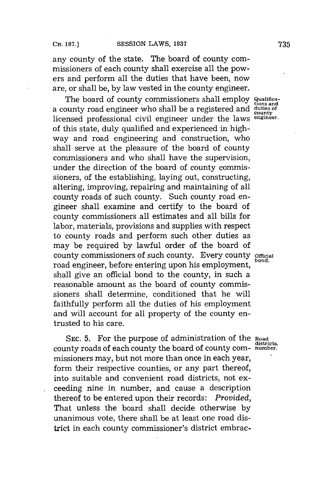any county of the state. The board of county commissioners of each county shall exercise all the powers and perform all the duties that have been, now are, or shall be, **by** law vested in the county engineer.

The board of county commissioners shall employ **Qualifica**<br>
tions and a county road engineer who shall be a registered and **duties of county** licensed professional civil engineer under the laws **engineer.** of this state, duly qualified and experienced in highway and road engineering and construction, who shall serve at the pleasure of the board of county commissioners and who shall have the supervision, under the direction of the board of county commissioners, of the establishing, laying' out, constructing, altering, improving, repairing and maintaining of all county roads of such county. Such county road engineer shall examine and certify to the board of county commissioners all estimates and all bills for labor, materials, provisions and supplies with respect to county roads and perform such other duties as may be required **by** lawful order of the board of county commissioners of such county. Every county official road engineer, before entering upon his employment, shall give an official bond to the county, in such a reasonable amount as the board of county commissioners shall determine, conditioned that he will faithfully perform all the duties of his employment and will account for all property of the county entrusted to his care.

**SEC. 5.** For the purpose of administration of the **Road** county roads of each county the board of county com- **number.** missioners may, but not more than once in each year, form their respective counties, or any part thereof, into suitable and convenient road districts, not ex- . ceeding nine in number, and cause a description thereof to be entered upon their records: *Provided,* That unless the board shall decide otherwise **by** unanimous vote, there shall be at least one road district in each county commissioner's district embrac-

**districts,**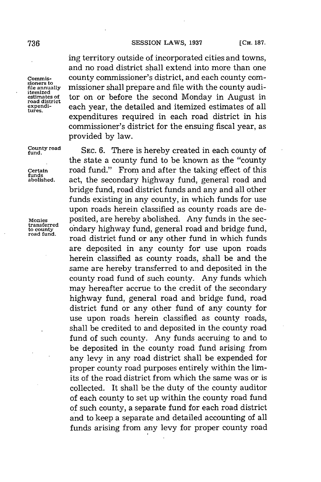#### **736 SESSION** LAWS, **<sup>1937</sup> [CH. 187.**

ing territory outside of incorporated cities and towns, and no road district shall extend into more than one **commis-** county commissioner's district, and each county com**file annually** missioner shall prepare and file with the county audi-Itemized<br>estimates of **tor on or before the second Monday in August in**<br>road district<br>expendi-<br>expendi**expendi-** each year, the detailed and itemized estimates of all **tures.** expenditures required in each road district in his commissioner's district for the ensuing fiscal year, as provided **by** law.

**ounty road** SEC. **6.** There is hereby created in each county of the state a county fund to be known as the "county **Certain** road fund." From and after the taking effect of this act, the secondary highway fund, general road and bridge fund, road district funds and any and all other funds existing in any county, in which funds for use upon roads herein classified as county roads are de-Monies posited, are hereby abolished. Any funds in the sections in the section county ondary highway fund, general road and bridge fund, road district fund or any other fund in which funds are deposited in any county for use upon roads herein classified as county roads, shall be and the same are hereby transferred to and deposited in the county road fund of such county. Any funds which may hereafter accrue to the credit of the secondary highway fund, general road and bridge fund, road district fund or any other fund of any county for use upon roads herein classified as county roads, shall be credited to and deposited in the county road fund of such county. Any funds accruing to and to be deposited in the county road fund arising from any levy in any road district shall be expended for proper county road purposes entirely within the limits of the road district from which the same was or is collected. It shall be the duty of the county auditor of each county to set up within the county road fund of such county, a separate fund for each road district and to keep a separate and detailed accounting of all funds arising from any levy for proper county road

**sioners to itemized**

**funds**

transferred<br>to county<br>road fund.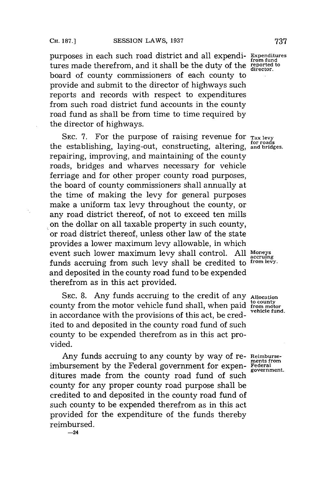purposes in each such road district and all expendi- **Expenditures** tures made therefrom, and it shall be the duty of the **reported** to the **reported** to the **reported** to board of county commissioners of each county to provide and submit to the director of highways such reports and records with respect to expenditures from such road district fund accounts in the county road fund as shall be from time to time required **by** the director of highways.

**SEC. 7.** For the purpose of raising revenue for **Tax levy for roads** the establishing, laying-out, constructing, altering, **and bridges.** repairing, improving, and maintaining of the county roads, bridges and wharves necessary for vehicle ferriage and for other proper county road purposes, the board of county commissioners shall annually at the time of making the levy for general purposes make a uniform tax levy throughout the county, or any road district thereof, of not to exceed ten mills on the dollar on all taxable property in such county, or road district thereof, unless other law of the state provides a lower maximum levy allowable, in which event such lower maximum levy shall control. **All Moneys** funds accruing from such levy shall be credited to **from levy.** and deposited in the county road fund to be expended therefrom as in this act provided.

**SEC. 8.** Any funds accruing to the credit of any **Allocation** county from the motor vehicle fund shall, when paid *from motor* in accordance with the provisions of this act, be credited to and deposited in the county road fund of such county to be expended therefrom as in this act provided.

Any funds accruing to any county **by** way of re- Reimburseimbursement by the Federal government for expenditures made from the county road fund of such county for any proper county road purpose shall be credited to and deposited in the county road fund of such county to be expended therefrom as in this act provided for the expenditure of the funds thereby reimbursed.

**-24**

**from fund**

accruing

ments from<br>Federal **government.**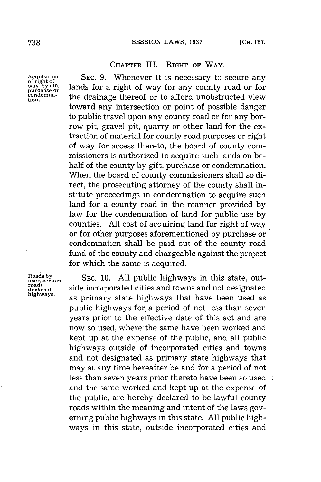## **CHAPTER** III. **RIGHT OF WAY.**

Acquisition SEC. 9. Whenever it is necessary to secure any way by gift, lands for a right of way for any county road or for purchase or the drainage thereof or to afford unobstructed view lands for a right of way for any county road or for condemna-<br>tion. the drainage thereof or to afford unobstructed view toward any intersection or point of possible danger to public travel upon any county road or for any borrow pit, gravel pit, quarry or other land for the extraction of material for county road purposes or right of way for access thereto, the board of county commissioners is authorized to acquire such lands on behalf of the county **by** gift, purchase or condemnation. When the board of county commissioners shall so direct, the prosecuting attorney of the county shall institute proceedings in condemnation to acquire such land for a county road in the manner provided **by** law for the condemnation of land for public use **by** counties. **All** cost of acquiring land for right of way or for other purposes aforementioned **by** purchase or condemnation shall be paid out of the county road fund of the county and chargeable against the project for which the same is acquired.

ó

Roads by<br>
user, certain **SEC. 10.** All public highways in this state, out-<br>
roads side incorporated cities and towns and not designated<br>
declared rearcared side incorporated cities and not design and not design as primary state highways that have been used as public highways for a period of not less than seven years prior to the effective date of this act and are now so used, where the same have been worked and kept up at the expense of the public, and all public highways outside of incorporated cities and towns and not designated as primary state highways that may at any time hereafter be and for a period of not less than seven years prior thereto have been so used and the same worked and kept up at the expense of the public, are hereby declared to be lawful county roads within the meaning and intent of the laws governing public highways in this state. **All** public highways in this state, outside incorporated cities and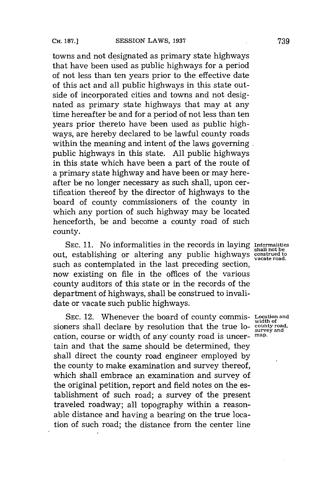towns and not designated as primary state highways that have been used as public highways for a period of not less than ten years prior to the effective date of this act and all public highways in this state outside of incorporated cities and towns and not designated as primary state highways that may at any time hereafter be and for a period of not less than ten years prior thereto have been used as public highways, are hereby declared to be lawful county roads within the meaning and intent of the laws governing. public highways in this state. **All** public highways in this state which have been a part of the route of a primary state highway and have been or may hereafter be no longer necessary as such shall, upon certification thereof **by** the director of highways to the board of county commissioners of the county in which any portion of such highway may be located henceforth, be and become a county road of such county.

**SEC. 11.** No informalities in the records in laying Informalities shall not be constructed to the construction of the construction of the construction of the public highways construed to vacate road. such as contemplated in the last preceding section, now existing on file in the offices of the various county auditors of this state or in the records of the department of highways, shall be construed to invalidate or vacate such public highways.

SEC. 12. Whenever the board of county commis-Location and **width of**<br> **sioners** shall declare by resolution that the true lo-  $\frac{\text{width of}}{\text{survey and}}$ cation, course or width of any' county road is uncer- map. tain and that the same should be determined, they shall direct the county road engineer employed **by** the county to make examination and survey thereof, which shall embrace an examination and survey of the original petition, report and field notes on the establishment of such road; a survey of the present traveled roadway; all topography within a reasonable distance and having a bearing on the true location of such road; the distance from the center line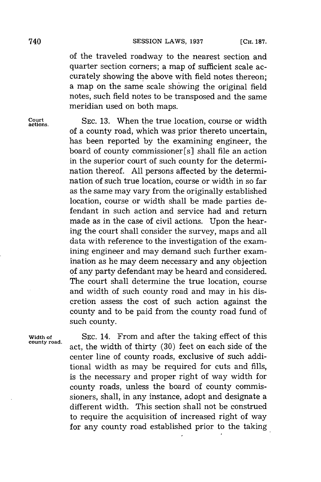of the traveled roadway to the nearest section and quarter section corners; a map of sufficient scale accurately showing the above with field notes thereon; a map on the same scale showing the original field notes, such field notes to be transposed and the same meridian used on both maps.

**Court** SEc. **13.** When the true location, course or width **actions.** of a county road, which was prior thereto uncertain, has been reported **by** the examining engineer, the board of county commissioner [s] shall file an action in the superior court of such county for the determination thereof. **All** persons affected **by** the determination of such true location, course or width in so far as the same may vary from the originally established location, course or width shall be made parties defendant in such action and service had and return made as in the case of civil actions. Upon the hearing the court shall consider the survey, maps and all data with reference to the investigation of the examining engineer and may demand such further examination as he may deem necessary and any objection **of** any party defendant may be heard and considered. The court shall determine the true location, course and width of such county road and may in his discretion assess the cost of such action against the county and to be paid from the county road fund of such county.

**county road.**

**Width of SEC.** 14. From and after the taking effect of this act, the width of thirty **(30)** feet on each side of the center line of county roads, exclusive of such additional width as may be required for cuts and fills, is the necessary and proper right of way width for county roads, unless the board of county commissioners, shall, in any instance, adopt and designate a different width. This section shall not be construed to require the acquisition of increased right of way for any county road established prior to the taking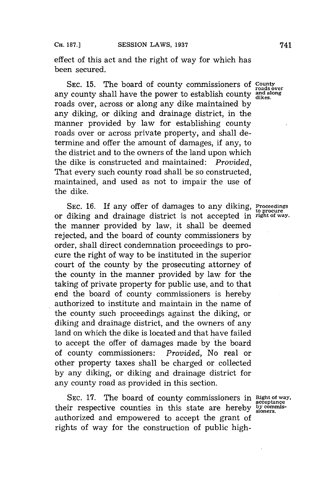effect of this act and the right of way for which has been secured.

SEC. 15. The board of county commissioners of **County** roads over any county shall have the power to establish county and along and along the power to establish county dikes. roads over, across or along any dike maintained **by** any diking, or diking and drainage district, in the manner provided **by** law for establishing county roads over or across private property, and shall determine and offer the amount of damages, if any, to the district and to the owners of the land upon which the dike is constructed and maintained: *Provided,* That every such county road shall be so constructed, maintained, and used as not to impair the use of the dike.

**SEC. 16.** If any offer of damages to any diking, **Proceedings to procure** or diking and drainage district is not accepted in **right of way.** the manner provided **by** law, it shall be deemed rejected, and the board of county commissioners **by** order, shall direct condemnation proceedings to procure the right of way to be instituted in the superior court of the county **by** the prosecuting attorney of the county in the manner provided **by** law for the taking of private property for public use, and to that end the board of county commissioners is hereby authorized to institute and maintain in the name of the county such proceedings against the diking, or diking and drainage district, and the owners of any land on which the dike is located and that have failed to accept the offer of damages made **by** the board of county commissioners: *Provided,* No real or other property taxes shall be charged or collected **by** any diking, or diking and drainage district for any county road as provided in this section.

SEC. 17. The board of county commissioners in **Right of way**, their respective counties in this state are hereby **bycomris**authorized and empowered to accept the grant of rights of way for the construction of public high-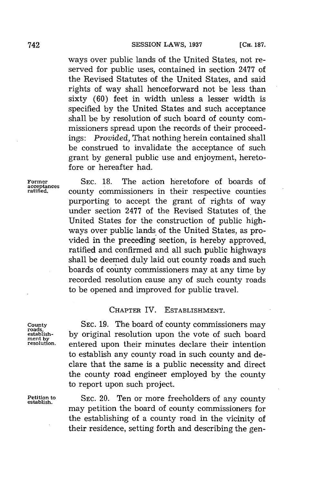ways over public lands of the United States, not reserved for public uses, contained in section **2477** of the Revised Statutes of the United States, and said rights of way shall henceforward not be less than sixty **(60)** feet in width unless a lesser width is specified **by** the United States and such acceptance shall be **by** resolution of such board of county commissioners spread upon the records of their proceedings: *Provided,* That nothing herein contained shall be construed to invalidate the acceptance of such grant **by** general public use and enjoyment, heretofore or hereafter had.

**acceptances**

**Former SEC. 18.** The action heretofore of boards of county commissioners in their respective counties purporting to accept the grant of rights of way under section **2477** of the Revised Statutes of the United States for the construction of public highways over public lands of the United States, as provided in the preceding section, is hereby approved, ratified and confirmed and all such public highways shall be deemed duly laid out county roads and such boards of county commissioners may at any time **by** recorded resolution cause any of such county roads to be opened and improved for public travel.

## CHAPTER IV. ESTABLISHMENT.

**County SEC. 19.** The board of county commissioners may **roads, establish- by** original resolution upon the vote of such board **ment by resolution.** entered upon their minutes declare their intention to establish any county road in such county and declare that the same is a public necessity and direct the county road engineer employed **by** the county to report upon such project.

**Petition to SEC.** 20. Ten or more freeholders of any county **establish.** may petition the board of county commissioners for the establishing of a county road in the vicinity of their residence, setting forth and describing the gen-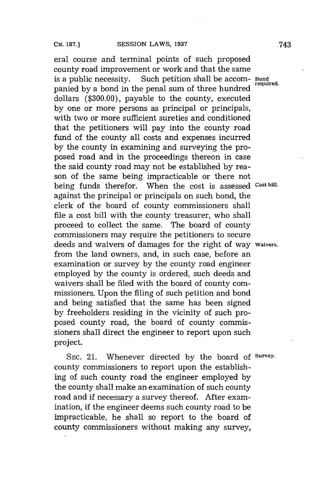eral course and terminal points of such proposed county road improvement or work and that the same<br>is a public necessity. Such petition shall be accom-Such petition shall be accom- Bond panied **by** a bond in the penal sum of three hundred **eq** dollars **(\$300.00),** payable to the county, executed **by** one or more persons as principal or principals, with two or more sufficient sureties and conditioned that the petitioners will pay into the county road fund of the county all costs and expenses incurred **by** the county in examining and surveying the proposed road and in the proceedings thereon in case the said county road may not be established **by** reason of the same being impracticable or there not being funds therefor. When the cost is assessed **Cost bill.** against the principal or principals on such bond, the clerk of the board of county commissioners shall file a cost bill with the county treasurer, who shall proceed to collect the same. The board of county commissioners may require the petitioners to secure deeds and waivers of damages for the right of way **waivers.** from the land owners, and, in such case, before an examination or survey **by** the county road engineer employed **by** the county is ordered, such deeds and waivers shall be filed with the board of county commissioners. Upon the filing of such petition and bond and being satisfied that the same has been signed **by** freeholders. residing in the vicinity of such proposed county road, the board of county commissioners shall direct the engineer to report upon such project.

SEc. 21. Whenever directed **by** the board **of Survey.** county commissioners to report upon the establishing of such county road the engineer employed **by** the county shall make an examination of such county road and if necessary a survey thereof. After examination, if the engineer deems such county road to be impracticable, he shall so report to the board of county commissioners without making any survey,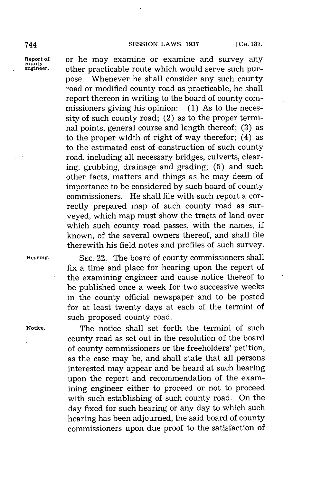#### **744 SESSION LAWS, 1937 [CH. 187.**

**Report of or he may examine or examine and survey any county other practicable route which would serve such pur**other practicable route which would serve such purpose. Whenever he shall consider any such county road or modified county road as practicable, he shall report thereon in writing to the board of county commissioners giving his opinion: **(1)** As to the necessity of such county road; (2) as to the proper terminal points, general course and length thereof; **(3)** as to the proper width of right of way therefor; (4) as to the estimated cost of construction of such county road, including all necessary bridges, culverts, clearing, grubbing, drainage and grading; **(5)** and such other facts, matters and things as he may deem of importance to be considered **by** such board of county commissioners. He shall file with such report a correctly prepared map of such county road as surveyed, which map must show the tracts of land over which such county road passes, with the names, if known, of the several owners thereof, and shall file therewith his field notes and profiles of such survey.

**Hearing. SEC.** 22. The board of county commissioners shall fix a time and place for hearing upon the report of the examining engineer and cause notice thereof to be published once a week for two successive weeks in the county official newspaper and to be posted for at least twenty days at each of the termini of such proposed county road.

**Notice.** The notice shall set forth the termini of such county road as set out in the resolution of the board of county commissioners or the freeholders' petition, as the case may be, and shall state that all persons interested may appear and be heard at such hearing upon the report and recommendation of the examining engineer either to proceed or not to proceed with such establishing of such county road. On the day fixed for such hearing or any day to which such hearing has been adjourned, the said board of county commissioners upon due proof to the satisfaction of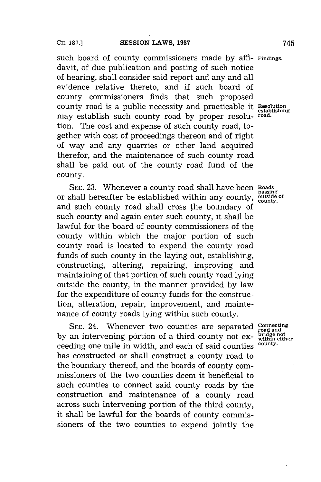such board of county commissioners made **by** *affi-* **Findings.** davit, of due publication and posting of such notice of hearing, shall consider said report and any and all evidence relative thereto, and if such board of county commissioners finds that such proposed county road is a public necessity and practicable it Resolution may establish such county road **by** proper resolu- **road.** tion. The cost and expense of such county road, together with cost of proceedings thereon and of right of way and any quarries or other land acquired therefor, and the maintenance of such county road shall be paid out of the county road fund of the county.

**SEC. 23.** Whenever a county road shall have been Roads passing or shall hereafter be established within any county, outside or shall hereafter be established within any county, and such county road shall cross the boundary of such county and again enter such county, it shall be lawful for the board of county commissioners of the county within which the major portion of such county road is located to expend the county road funds of such county in the laying out, establishing, constructing, altering, repairing, improving and maintaining of that portion of such county road lying outside the county, in the manner provided **by** law for the expenditure of county funds for the construction, alteration, repair, improvement, and maintenance of county roads lying within such county.

**SEC. 24.** Whenever two counties are separated *Connecting* on intervening portion of a third county not oxy pridge not by an intervening portion of a third county not ex-  $\frac{\text{bridge not}}{\text{within either}}$ ceeding one mile in width, and each of said counties has constructed or shall construct a county road to the boundary thereof, and the boards of county commissioners of the two counties deem it beneficial to such counties to connect said county roads **by** the construction and maintenance of a county road across such intervening portion of the third county, it shall be lawful for the boards of county commissioners of the two counties to expend jointly the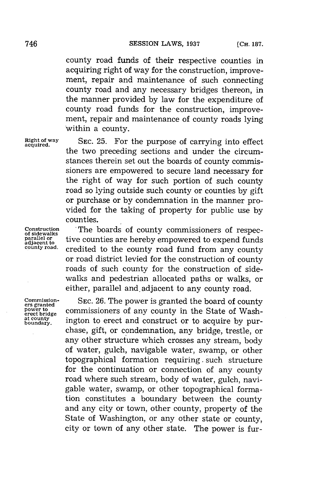county road funds of their respective counties in acquiring right of way for the construction, improvement, repair and maintenance of such connecting county road and any necessary bridges thereon, in the manner provided **by** law for the expenditure of county road funds for the construction, improvement, repair and maintenance of county roads lying within a county.

**Right of way SEC. 25.** For the purpose of carrying into effect **acquired.** the two preceding sections and under the circumstances therein set out the boards of county commissioners are empowered to secure land necessary for the right of way for such portion of such county road so lying outside such county or counties **by** gift or purchase or **by** condemnation in the manner provided for the taking of property for public use **by** counties.

Construction **The boards of county commissioners of respec-**<br>of sidewalks<br>parallel or *tive counties are bereby empourand to export funds* parallel or **tive counties are hereby empowered to expend funds** adjacent to **county** road. *are distribution*  $\alpha$  and  $\beta$  fund from any  $\alpha$  cunty credited to the county road fund from any county or road district levied for the construction of county roads of such county for the construction of sidewalks and pedestrian allocated paths or walks, or either, parallel and, adjacent to any county road.

**commission- SEC. 26. The power is granted the board of county example 25. commissioners** of any county in the State of Washpower to **power to commissioners of any county in the State of Wash-**<br>erect bridge in the pounty ington to erect and construct or to acquire by purington to erect and construct or to acquire by purchase, gift, or condemnation, any bridge, trestle, or any other structure which crosses any stream, body of water, gulch, navigable water, swamp, or other topographical formation requiring **.** such structure for the continuation or connection of any county road where such stream, body of water, gulch, navigable water, swamp, or other topographical formation constitutes a boundary between the county and any city or town, other county, property of the State of Washington, or any other state or county, city or town of any other state. The power is fur-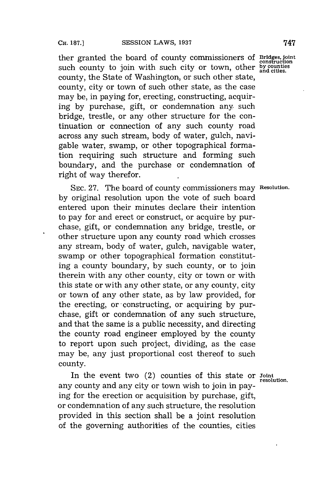ther granted the board of county commissioners of **Bridges, joint** construction such county to join with such city or town, other **by counties** county, the State of Washington, or such other state, county, city or town of such other state, as the case may be, in paying for, erecting, constructing, acquiring **by** purchase, gift, or condemnation any such bridge, trestle, or any other structure for the continuation or connection of any such county road across any such stream, body of water, gulch, navigable water, swamp, or other topographical formation requiring such structure and forming such boundary, and the purchase or condemnation of right of way therefor.

**SEC. 27.** The board of county commissioners may **Resolution. by** original resolution upon the vote of such board entered upon their minutes declare their intention to pay for and erect or construct, or acquire **by** purchase, gift, or condemnation any bridge, trestle, or other structure upon any county road which crosses any stream, body of water, gulch, navigable water, swamp or other topographical formation constituting a county boundary, **by** such county, or to join therein with any other county, city or town or with this state or with any other state, or any county, city or town of any other state, as **by** law provided, for the erecting, or -constructing, or acquiring **by** purchase, gift or condemnation of any such structure, and that the same is a public necessity, and directing the county road engineer employed **by** the county to report upon such project, dividing, as the case may be, any just proportional cost thereof to such county.

In the event two (2) counties of this state or **Joint** resolution. any county and any city or town wish to join in paying for the erection or acquisition **by** purchase, gift, or condemnation of any such structure, the resolution provided in this section shall be a joint resolution of the governing authorities of the counties, cities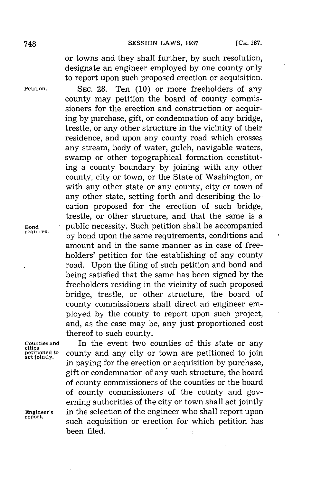or towns and they shall further, **by** such resolution, designate an engineer employed **by** one county only to report upon such proposed erection or acquisition.

**Petition. SEC. 28.** Ten **(10)** or more freeholders of any county may petition the board of county commissioners for the erection and construction or acquiring **by** purchase, gift, or condemnation of any bridge, trestle, or any other structure in the vicinity of their residence, and upon any county road which crosses any stream, body of water, gulch, navigable waters, swamp or other topographical formation constituting a county boundary **by** joining with any other county, city or town, or the State of Washington, or with any other state or any county, city or town of any other state, setting forth and describing the location proposed for the erection of such bridge, trestle, or other structure, and that the same is a **Bond** public necessity. Such petition shall be accompanied by bond upon the same requirements, conditions and amount and in the same manner as in case of freeholders' petition for the establishing of any county road. Upon the filing of such petition and bond and being satisfied that the same has been signed **by** the freeholders residing in the vicinity of such proposed bridge, trestle, or other structure, the board of county commissioners shall direct an engineer employed **by** the county to report upon such project, and, as the case may be, any just proportioned cost thereof to such county.

**Counties and** In the event two counties of this state or any **cities** county and any city or town are petitioned to join in paying for the erection or acquisition **by** purchase, gift or condemnation of any such structure, the board of county commissioners of the counties or the board of county commissioners of the county and governing authorities of the city or town shall act jointly **Engineer's** in the selection of the engineer who shall report upon report. such acquisition or erection for which petition has been filed.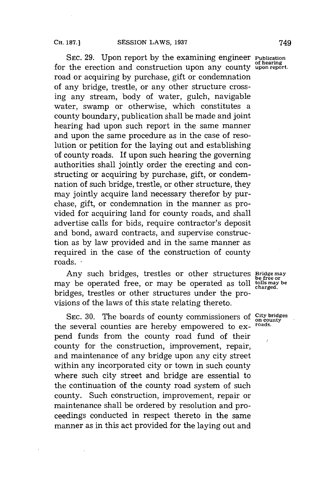SEC. **29.** Upon report **by** the examining engineer **Publication of hearing** for the erection and construction upon any county **upon report.** road or acquiring **by** purchase, gift or condemnation of any bridge, trestle, or any other structure crossing any stream, body of water, gulch, navigable water, swamp or otherwise, which constitutes a county boundary, publication shall be made and joint hearing had upon such report in the same manner and upon the same procedure as in the case of resolution or petition for the laying out and establishing **of** county roads. If upon such hearing the governing authorities shall jointly order the erecting and constructing or acquiring **by** purchase, gift, or condemnation of such bridge, trestle, or other structure, they may jointly acquire land necessary therefor **by** purchase, gift, or condemnation in the manner as provided for acquiring land for county roads, and shall advertise calls for bids, require contractor's deposit and bond, award contracts, and supervise construction as **by** law provided and in the same manner as required in the case of the construction of county roads. **,**

Any such bridges, trestles or other structures **Bridge may be free or** may be operated free, or may be operated as toll college or bridges, trestles or other structures under the provisions of the laws of this state relating thereto.

SEC. 30. The boards of county commissioners of City bridges<br>**on counting and hereby** empowered to ex. roads. the several counties are hereby empowered to expend funds from the county road fund of their county for the construction, improvement, repair, and maintenance of any bridge upon any city street within any incorporated city or town in such county where such city street and bridge are essential to the continuation of the county road system of such county. Such construction, improvement, repair or maintenance shall be ordered **by** resolution and proceedings conducted in respect thereto in the same manner as in this act provided for the laying out and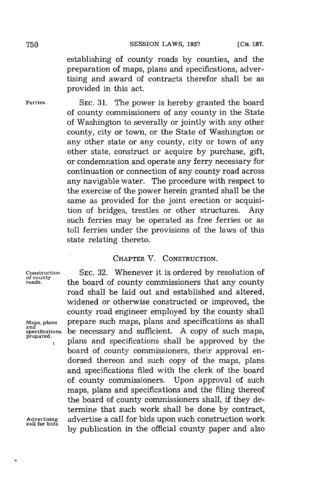establishing of county roads **by** counties, and the preparation of maps, plans and specifications, advertising and award of contracts therefor shall be as provided in this act.

**Ferries. SEC. 31.** The power is hereby granted the board of county commissioners of any county in the State of Washington to severally or jointly with any other county, city or town, or the State of Washington or any other state or any county, city or town of any other state, construct or acquire **by** purchase, gift, or condemnation and operate any ferry necessary for continuation or connection of any county road across any navigable water. The procedure with respect to the exercise of the power herein granted shall be the same as provided for the joint erection or acquisition of bridges, trestles or other structures. Any such ferries may be operated as free ferries or as toll ferries under the provisions of the laws of this state relating thereto.

### CHAPTER V. CONSTRUCTION.

**Construction SEC. 32.** Whenever it is ordered **by** resolution of

and<br>specifications

**of county roads.** the board of county commissioners that any county road shall be laid out and established and altered, widened or otherwise constructed or improved, the county road engineer employed **by** the county shall Maps, plans **prepare such maps, plans and specifications as shall** specifications be necessary and sufficient. A copy of such maps, prepared.<br> **be necessary and specifications shall be approved by the** board of county commissioners, their approval endorsed thereon and such copy of the maps, plans and specifications filed with the clerk of the board of county commissioners. Upon approval of such maps, plans and specifications and the filing thereof the board of county commissioners shall, if they determine that such work shall be done **by** contract, advertise a call for bids upon such construction work by publication in the official county paper and also

**call for bids.**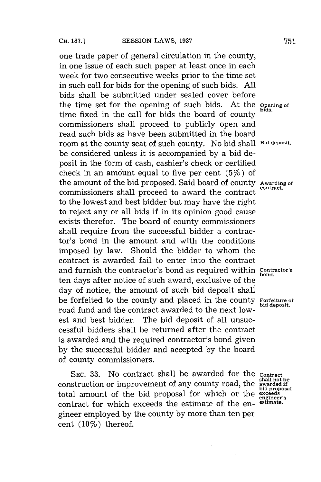one trade paper of general circulation in the county, in one issue of each such paper at least once in each week for two consecutive weeks prior to the time set in such call for bids for the opening of such bids. **All** bids shall be submitted under sealed cover before the time set for the opening of such bids. At the **Opening of bids.** time fixed in the call for bids the board of county commissioners shall proceed to publicly open and read such bids as have been submitted in the board room at the county seat of such county. No bid shall **Bid deposit.** be considered unless it is accompanied **by** a bid deposit in the form of cash, cashier's check or certified check in an amount equal to five per cent (5%) of the amount of the bid proposed. Said board of county **Awarding of** commissioners shall proceed to award the contract to the lowest and best bidder but may have the right to reject any or all bids if in its opinion good cause exists therefor. The board of county commissioners shall require from the successful bidder a contractor's bond in the amount and with the conditions imposed **by** law. Should the bidder to whom the contract is awarded fail to enter into the contract and furnish the contractor's bond as required within **Contractor's bond.** ten days after notice of such award, exclusive of the day of notice, the amount of such bid deposit shall be forfeited to the county and placed in the county **Forfeiture of bid deposit.** road fund and the contract awarded to the next *low*est and best bidder. The bid deposit of all unsuccessful bidders shall be returned after the contract is awarded and the required contractor's bond given **by** the successful bidder and accepted **by** the board of county commissioners.

SEC. 33. No contract shall be awarded for the **Contract** construction or improvement of any county road, the total amount of the bid proposal for which or the **exceeds** contract for which exceeds the estimate of the engineer employed **by** the county **by** more than ten per cent (10%) thereof.

awarded if<br>bid proposal **engineer's**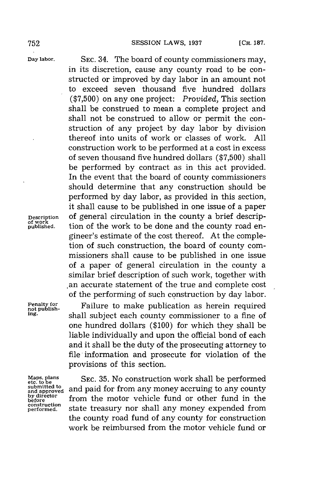**Day labor. SEC.** 34. The board of county commissioners may, in its discretion, cause any county road to be constructed or improved **by** day labor in an amount not to exceed seven thousand five hundred dollars **(\$7,500)** on any one project: *Provided,* This section shall be construed to mean a complete project and shall not be construed to allow or permit the construction of any project **by** day labor **by** division thereof into units of work or classes of work. **All** construction work to be performed at a cost in excess of seven thousand five hundred dollars **(\$7,500)** shall be performed **by** contract as in this act provided. In the event that the board of county commissioners should determine that any construction should be performed **by** day labor, as provided in this section, it shall cause to be published in one issue of a paper **Description** of general circulation in the county a brief descrip- **of work** tion of the work to be done and the county road engineer's estimate of the cost thereof. At the completion of such construction, the board of county commissioners shall cause to be published in one issue of a paper of general circulation in the county a similar brief description of such work, together with .an accurate statement of the true and complete cost of the performing of such construction **by** day labor.

**Penalty for**<br>
not publish-<br> **ing.**<br>
chall subject each county commissioner to a fine of **ing.** shall subject each county commissioner to a fine of one hundred dollars **(\$100)** for which they shall be liable individually and upon the official bond of each and it shall be the duty of the prosecuting attorney to file information and prosecute for violation of the provisions of this section.

**construction**

Maps. plans SEC. 35. No construction work shall be performed<br>submitted to submitted to and paid for from any money accruing to any county<br>by director<br>before from the motor vehicle fund or other fund in the and paid for from any money accruing to any county from the motor vehicle fund or other fund in the state treasury nor shall any money expended from the county road fund of any county for construction work be reimbursed from the motor vehicle fund or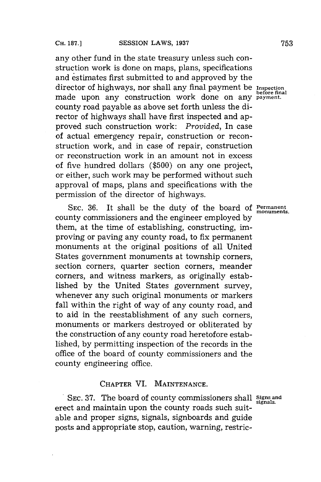any other fund in the state treasury unless such construction work is done on maps, plans, specifications and estimates first submitted to and approved **by** the director of highways, nor shall any final payment be **Inspection** before final made upon any construction work done on any **payment.** county road payable as above set forth unless the director of highways shall have first inspected and approved such construction work: *Provided,* In case of actual emergency repair, construction or reconstruction work, and in case of repair, construction or reconstruction work in an amount not in excess of five hundred dollars **(\$500)** on any one project, or either, such work may be performed without such approval of maps, plans and specifications with the permission of the director of highways.

**SEC. 36.** It shall be the duty of the board **of Permanent** county commissioners and the engineer employed **by** them, at the time of establishing, constructing, improving or paving any county road, to fix permanent monuments at the original positions of all United States government monuments at township corners, section corners, quarter section corners, meander corners, and witness markers, as originally established **by** the United States government survey, whenever any such original monuments or markers fall within the right of way of any county road, and to aid in the reestablishment of any such corners, monuments or markers destroyed or obliterated **by** the construction of any county road heretofore established, **by** permitting inspection of the records in the office of the board of county commissioners and the county engineering office.

## **CHAPTER** VI. **MAINTENANCE.**

**SEC. 37.** The board of county commissioners shall **Signs and signals.** erect and maintain upon the county roads such suitable and proper signs, signals, signboards and guide posts and appropriate stop, caution, warning, restric-

monuments.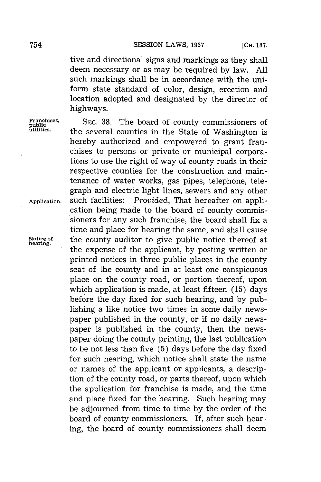tive and directional signs and markings as they shall deem necessary or as may be required **by** law. **All** such markings shall be in accordance with the uniform state standard of color, design, erection and location adopted and designated **by** the director of highways.

Franchises, SEC. 38. The board of county commissioners of **public**<br>public descriptions of **public** contracts of **public** the several counties in the State of Washington is hereby authorized and empowered to grant franchises to persons or private or municipal corporations to use the right of way of county roads in their respective counties for the construction and maintenance of water works, gas pipes, telephone, telegraph and electric light lines, sewers and any other **Application.** such facilities: *Provided,* That hereafter on application being made to the board of county commissioners for any such franchise, the board shall fix a time and place for hearing the same, and shall cause **Notice of** the county auditor to give public notice thereof at **hearing.** the expense of the applicant, **by** posting written or printed notices in three public places in the county seat of the county and in at least one conspicuous place on the county road, or portion thereof, upon which application is made, at least fifteen **(15)** days before the day fixed for such hearing, and **by** publishing a like notice two times in some daily newspaper published in the county, or if no daily newspaper is published in the county, then the newspaper doing the county printing, the last publication to be not less than five **(5)** days before the day fixed for such hearing, which notice shall state the name or names of the applicant or applicants, a description of the county road, or parts thereof, upon which the application for franchise is made, and the time and place fixed for the hearing. Such hearing may be adjourned from time to time **by** the order of the board of county commissioners. **If,** after such hearing, the board of county commissioners shall deem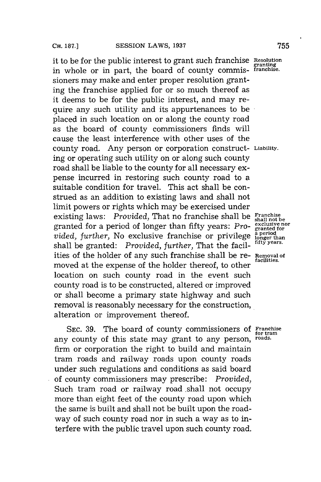it to be for the public interest to grant such franchise **Resolution granting** in whole or in part, the board of county commis- **franchise.** sioners may make and enter proper resolution granting the franchise applied for or so much thereof as it deems to be for the public interest, and may require any such utility and its appurtenances to be placed in such location on or along the county road as the board of county commissioners finds will cause the least interference with other uses of the county road. Any person or corporation construct- **Liability.** ing or operating such utility on or along such county road shall be liable to the county for all necessary expense incurred in restoring such county road to a suitable condition for travel. This act shall be construed as an addition to existing laws and shall not limit powers or rights which may be exercised under existing laws: *Provided*, That no franchise shall be **Franchise** granted for a period of longer than fifty years: *Pro-* exclusive nor vided, further, No exclusive franchise or privilege aperiod *a period*<br>chall be granted. *Provided further*, **That the factul** fifty years. shall be granted: *Provided, further, That the facil*ities of the holder of any such franchise shall be re- **Removal of facilities.** moved at the expense of the holder thereof, to other location on such county road in the event such county road is to be constructed, altered or improved or shall become a primary state highway and such removal is reasonably necessary for the construction, alteration or improvement thereof.

**SEC. 39.** The board of county commissioners **of Franchise for tram** any county of this state may grant to any person, **roads.** firm or corporation the right to build and maintain tram roads and railway roads upon county roads under such regulations and conditions as said board of county commissioners may prescribe: *Provided,* Such tram road or railway road shall not occupy more than eight feet of the county road upon which the same is built and shall not be built upon the roadway of such county road nor in such a way as to interfere with the public travel upon such county road.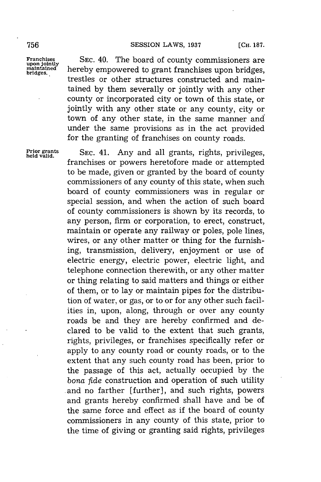#### **756 SESSION** LAWS, **1937 [CH. 187.**

Franchises SEC. 40. The board of county commissioners are<br>
maintained hereby empowered to grant franchises upon bridges. waintained **hereby empowered to grant franchises upon bridges,**<br>bridges. trestles or other structures constructed and maintained **by** them severally or jointly with any other county or incorporated city or town of this state, or jointly with any other state or any county, city or town of any other state, in the same manner and under the same provisions as in the act provided for the granting of franchises on county roads.

**Prior grants SEC.** 41. Any and all grants, rights, privileges, **held valid.** franchises or powers heretofore made or attempted to be made, given or granted **by** the board of county commissioners of any county of this state, when such board of county commissioners was in regular or special session, and when the action of such board of county commissioners is shown **by** its records, to any person, firm or corporation, to erect, construct, maintain or operate any railway or poles, pole lines, wires, or any other matter or thing for the furnishing, transmission, delivery, enjoyment or use of electric energy, electric power, electric light, and telephone connection therewith, or any other matter or thing relating to said matters and things or either of them, or to lay or maintain pipes for the distribution of water, or gas, or to or for any other such facilities in, upon, along, through or over any county roads be and they are hereby confirmed and declared to be valid to the extent that such grants, rights, privileges, or franchises specifically refer or apply to any county road or county roads, or to the extent that any such county road has been, prior to the passage of this act, actually occupied **by** the *bona fide* construction and operation of such utility .and no farther [further], and such rights, powers and grants hereby confirmed shall have and be of the same force and effect as if the board of county commissioners in any county of this state, prior to the time of giving or granting said rights, privileges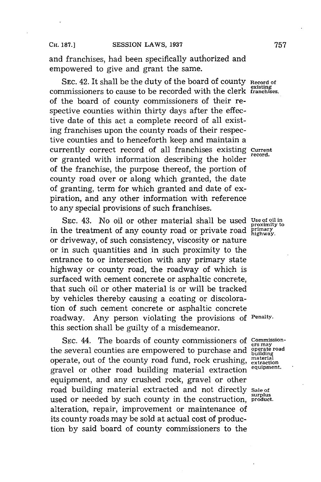and franchises, had been specifically authorized and empowered to give and grant the same.

**SEC.** 42. It shall be the duty of the board of county **Record of existing** commissioners to cause to be recorded with the clerk **franchises.** of the board of county commissioners of their respective counties within thirty days after the effective date of this act a complete record of all existing franchises upon the county roads of their respective counties and to henceforth keep and maintain a currently correct record of all franchises existing **Current** or granted with information describing the holder of the franchise, the purpose thereof, the portion of county road over or along which granted, the date of granting, term for which granted and date of expiration, and any other information with reference to any special provisions of such franchises.

**SEC.** 43. No oil or other material shall be used **Use of oil in** in the treatment of any county road or private road  $\frac{r_{\text{min}}}{\text{highway}}$ . or driveway, of such consistency, viscosity or nature or in such quantities and in such proximity to the entrance to or intersection with any primary state highway or county road, the roadway of which is surfaced with cement concrete or asphaltic concrete, that such oil or other material is or will be tracked **by** vehicles thereby causing a coating or discoloration of such cement concrete or asphaltic concrete roadway. Any person violating the provisions **of Penalty.** this section shall be guilty of a misdemeanor.

SEC. 44. The boards of county commissioners of **Commission**<br>the several counties are empowered to purchase and **operate road**<br>building operate, out of the county road fund, rock crushing, material<br>gravel on other road hydriging material sutpection equipment. gravel or other road building material extraction equipment, and any crushed rock, gravel or other road building material extracted and not directly **Sale of surplus** used or needed **by** such county in the construction, **product.** alteration, repair, improvement or maintenance of its county roads may be sold at actual cost of production **by** said board of county commissioners to the

proximity **to**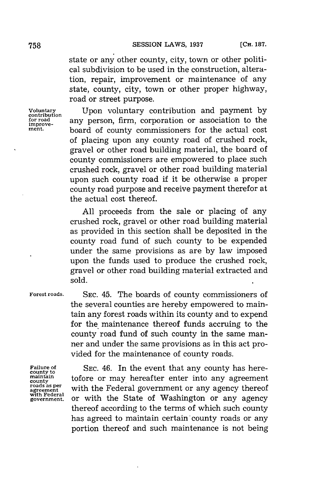state or any other county, city, town or other political subdivision to be used in the construction, alteration, repair, improvement or maintenance of any state, county, city, town or other proper highway, road or street purpose.

Voluntary Upon voluntary contribution and payment by contribution and payment by  $\frac{\text{cost}}{\text{for read}}$  any person firm corporation or association to the **for road** any person, firm, corporation or association to the **improvement.** board of county commissioners for the actual cost of placing upon any county road of crushed rock, gravel or other road building material, the board of county commissioners are empowered to place such crushed rock, gravel or other road building material upon such county road if it be otherwise a proper county road purpose and receive payment therefor at the actual cost thereof.

> **All** proceeds from the sale or placing of any crushed rock, gravel or other road building material as provided in this section shall be deposited in the county road fund of such county to be expended under the same provisions as are **by** law imposed upon the funds used to produce the crushed rock, gravel or other road building material extracted and sold.

**Forest roads. SEC.** 45. The boards of county commissioners of the several counties are hereby empowered to maintain any forest roads within its county and to expend for the maintenance thereof funds accruing to the county road fund of such county in the same manner and under the same provisions as in this act provided for the maintenance of county roads.

Fallure of SEC. 46. In the event that any county has here-<br>
<u>county</u> to the county of the same into any agreement maintain<br>county<br>roads as per with the Foderal government or any aggreement roads as per with the Federal government or any agency thereof<br>with Federal correct and the State of Washington or any agency<br>government, or with the State of Washington or any agency or with the State of Washington or any agency thereof according to the terms of which such county has agreed to maintain certain county roads or any portion thereof and such maintenance is not being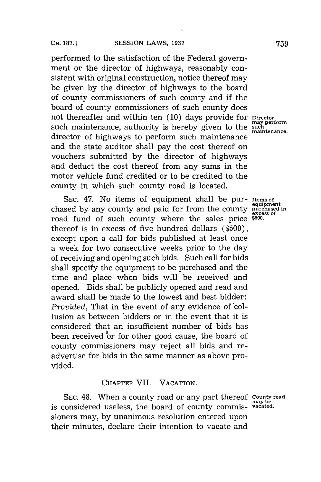performed to the satisfaction of the Federal government or the director of highways, reasonably consistent with original construction, notice thereof may be given **by** the director of highways to the board of county commissioners of such county and **if** the board of county commissioners of such county does not thereafter and within ten (10) days provide for **Director**<br>such maintenance authority is hereby given to the such such maintenance, authority is hereby given to the director of highways to perform such maintenance and the state auditor shall pay the cost thereof on vouchers submitted **by** the director of highways and deduct the cost thereof from any sums in the motor vehicle fund credited or to be credited to the county in which such county road is located.

**SEC.** 47. No items of equipment shall be pur- **Items of** chased by any county and paid for from the county **purchased** in road fund of such county where the sales price **\$500.** thereof is in excess of five hundred dollars **(\$500),** except upon a call for bids published at least once a week for two consecutive weeks prior to the day of receiving and opening such bids. Such call for bids shall specify the equipment to be purchased and the time and place when bids will be received and opened. Bids shall be publicly opened and read and award shall be made to the lowest and best bidder: *Provided.* That in the event of any evidence of collusion as between bidders or in the event that it is considered that an insufficient number of bids has been received or for other good cause, the board of county commissioners may reject all bids and readvertise for bids in the same manner as above provided.

## **CHAPTER** VII. **VACATION.**

**SEC.** 48. When a county road or any part thereof **county road may be** is considered useless, the board of county commis- **vacated.** sioners may, **by** unanimous resolution entered upon their minutes, declare their intention to vacate and

**maintenance.**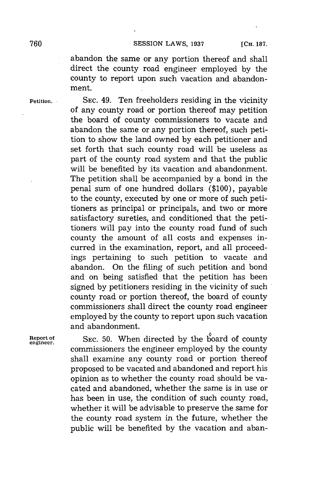**760 SESSION** LAWS, **1937 [CH. 187.**

abandon the same or any portion thereof and shall direct the county road engineer employed **by** the county to report upon such vacation and abandonment.

**Petition. SEC.** 49. Ten freeholders residing in the vicinity of any county road or portion thereof may petition the board of county commissioners to vacate and abandon the same or any portion thereof, such petition to show the land owned **by** each petitioner and set forth that such county road will be useless as part of the county road system and that the public will be benefited **by** its vacation and abandonment. The petition shall be accompanied **by** a bond in the penal sum of one hundred dollars **(\$100),** payable to the county, executed **by** one or more of such petitioners as principal or principals, and two or more satisfactory sureties, and conditioned that the petitioners will pay into the county road fund of such county the amount of all costs and expenses incurred in the examination, report, and all proceedings pertaining to such petition to vacate and abandon. On the filing of such petition and bond and on being satisfied that the petition has been signed **by** petitioners residing in the vicinity of such county road or portion thereof, the board of county commissioners shall direct the county road engineer employed **by** the county to report upon such vacation and abandonment.

**Report of SEC. 50.** When directed **by** the board of county **engineer.** commissioners the engineer employed **by** the county shall examine any county road or portion thereof proposed to be vacated and abandoned and report his opinion as to whether the county road should be vacated and abandoned, whether the same is in use or has been in use, the condition of such county road, whether it will be advisable to preserve the same for the county road system in the future, whether the public will be benefited **by** the vacation and aban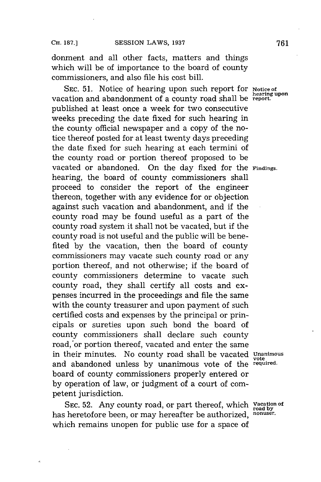donment and all other facts, matters and things which will be of importance to the board of county commissioners, and also file his cost bill.

**SEC. 51.** Notice of hearing upon such report for **Notice of hearing upon** vacation and abandonment of a county road shall be **report.** published at least once a week for two consecutive weeks preceding the date fixed for such hearing in the county official newspaper and a copy of the notice thereof posted for at least twenty days preceding the date fixed for such hearing at each termini of the county road or portion thereof proposed to be vacated or abandoned. On the day fixed for the **Findings.** hearing, the board of county commissioners shall proceed to consider the report of the engineer thereon, together with any evidence for or objection against such vacation and abandonment, and if the county road may be found useful as a part of the county road system it shall not be vacated, but if the county road is not useful and the public will be benefited **by** the vacation, then the board of county commissioners may vacate such county road or any portion thereof, and not otherwise; if the board of county commissioners determine to vacate such county road, they shall certify all costs and expenses incurred in the proceedings and file the same with the county treasurer and upon payment of such certified costs and expenses **by** the principal or principals or sureties upon such bond the board of county commissioners shall declare such county road, or portion thereof, vacated and enter the same in their minutes. No county road shall be vacated **Unanimous** and abandoned unless **by** unanimous vote **of** the **required.** board of county commissioners properly entered or **by** operation of law, or judgment of a court of competent jurisdiction.

SEC. 52. Any county road, or part thereof, which **Vacation of** has heretofore been, or may hereafter be authorized, **nonuser**. which remains unopen for public use for a space of

vote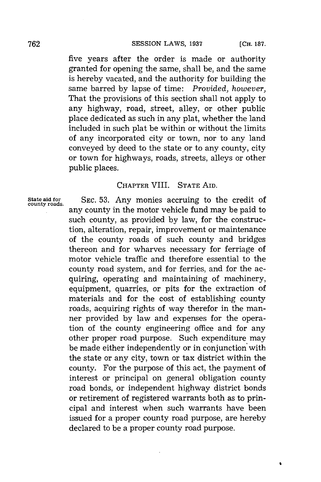five years after the order is made or authority granted for opening the same, shall be, and the same is hereby vacated, and the authority for building the same barred **by** lapse of time: *Provided, however,* That the provisions of this section shall not apply to any highway, road, street, alley, or other public place dedicated as such in any plat, whether the land included in such plat be within or without the limits of any incorporated city or town, nor to any land conveyed **by** deed to the state or to any county, city or town for highways, roads, streets, alleys or other public places.

## CHAPTER VIII. **STATE** AID.

State aid for SEC. 53. Any monies accruing to the credit of any county in the motor vehicle fund may be paid to such county, as provided **by** law, for the construction, alteration, repair, improvement or maintenance of the county roads of such county and bridges thereon and for wharves necessary for ferriage of motor vehicle traffic and therefore essential to the county road system, and for ferries, and for the acquiring, operating and maintaining of machinery, equipment, quarries, or pits for the extraction of materials and for the cost of establishing county roads, acquiring rights of way therefor in the manner provided **by** law and expenses for the operation of the county engineering office and for any other proper road purpose. Such expenditure may be made either independently or in conjunction with the state or any city, town or tax district within the county. For the purpose of this act, the payment of interest or principal on general obligation county road bonds, or independent highway district bonds or retirement of registered warrants both as to principal and interest when such warrants have been issued for a proper county road purpose, are hereby declared to be a proper county road purpose.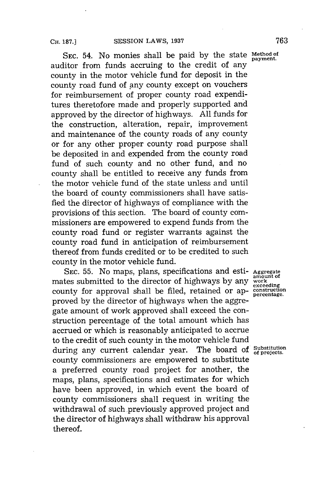**SEC.** 54. No monies shall be paid **by** the state **Method** of auditor from funds accruing to the credit of any county in the motor vehicle fund for deposit in the county road fund of any county except on vouchers for reimbursement of proper county road expenditures theretofore made and properly supported and approved **by** the director of highways. **All** funds for the construction, alteration, repair, improvement and maintenance of the county roads of any county or for any other proper county road purpose shall be deposited in and expended from the county road fund of such county and no other fund, and no county shall be entitled to receive any funds from the motor vehicle fund of the state unless and until the board of county commissioners shall have satisfied the director of highways of compliance with the provisions of this section. The board of county commissioners are empowered to expend funds from the county road fund or register warrants against the county road fund in anticipation of reimbursement thereof from funds credited or to be credited to such county in the motor vehicle fund.

**SEC. 55.** No maps, plans, specifications and esti- **Aggregate** mates submitted to the director of highways by any mates substituted to the director of highways by any exceeding<br>county for approval shall be filed, retained or approved **by** the director of highways when the aggregate amount of work approved shall exceed the construction percentage of the total amount which has accrued or which is reasonably anticipated to accrue to the credit of such county in the motor vehicle fund<br>during any current calendar year. The board of  $_{of\text{~projections}}^{\text{Substitution}}$ during any current calendar year. county commissioners are empowered to substitute a preferred county road project for another, the maps, plans, specifications and estimates for which have been approved, in which event the board of county commissioners shall request in writing the withdrawal of such previously approved project and the director of highways shall withdraw his approval thereof.

**amount of**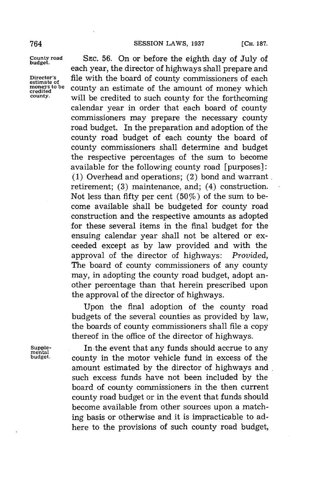**County road SEC. 56.** On or before the eighth day of July of each year, the director of highways shall prepare and **Director's** file with the board of county commissioners of each **estimate of** counted county an estimate of the amount of money which<br>credited<br>county. will be applied to such county for the fortheoming. will be credited to such county for the forthcoming calendar year in order that each board of county commissioners may prepare the necessary county road budget. In the preparation and adoption of the county road budget of each county the board of county commissioners shall determine and budget the respective percentages of the sum to become available for the following county road [purposes]: **(1)** Overhead and operations; (2) bond and warrant retirement; **(3)** maintenance, and; (4) construction. Not less than fifty per cent  $(50\%)$  of the sum to become available shall be budgeted for county road construction and the respective amounts as adopted for these several items in the final budget for the ensuing calendar year shall not be altered or exceeded except as **by** law provided and with the approval of the director of highways: *Provided,* The board of county commissioners of any county may, in adopting the county road budget, adopt another percentage than that herein prescribed upon the approval of the director of highways.

> Upon the final adoption of the county road budgets of the several counties as provided **by** law, the boards of county commissioners shall file a copy thereof in the office of the director of highways.

Supple-<br> **In the event that any funds should accrue to any**<br> **pudget. COUPTY** in the motor vehicle fund in excess of the county in the motor vehicle fund in excess of the amount estimated **by** the director of highways and such excess funds have not been included **by** the board of county commissioners in the then current county road budget or in the event that funds should become available from other sources upon a matching basis or otherwise and it is impracticable to adhere to the provisions of such county road budget,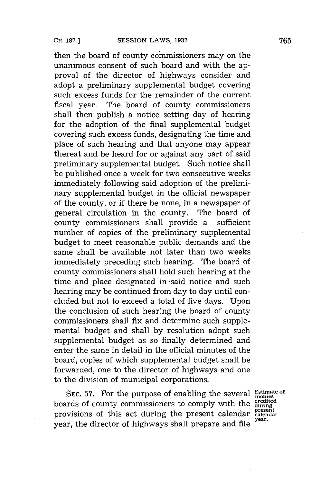then the board of county commissioners may on the unanimous consent of such board and with the approval of the director of highways consider and adopt a preliminary supplemental budget covering such excess funds for the remainder of the current fiscal year. The board of county commissioners shall then publish a notice setting day of hearing for the adoption of the final supplemental budget covering such excess funds, designating the time and place of such hearing and that anyone may appear thereat and be heard for or against any part of said preliminary supplemental budget. Such notice shall be published once a week for two consecutive weeks immediately following said adoption of the preliminary supplemental budget in the official newspaper of the county, or if there be none, in a newspaper of general circulation in the county. The board of county commissioners shall provide a sufficient number of copies of the preliminary supplemental budget to meet reasonable public demands and the same shall be available not later than two weeks immediately preceding such hearing. The board of county commissioners shall hold such hearing at the time and place designated in -said notice and such hearing may be continued from day to day until concluded but not to exceed a total of five days. Upon the conclusion of such hearing the board of county commissioners shall fix and determine such supplemental budget and shall **by** resolution adopt such supplemental budget as so finally determined and enter the same in detail in the official minutes of the board, copies of which supplemental budget shall be forwarded, one to the director of highways and one to the division of municipal corporations.

SEC. 57. For the purpose of enabling the several **Estimate of** boards of county commissioners to comply with the  $\frac{\text{credicted}}{\text{during}}$ provisions of this act during the present calendar catendar provisions of thighways shall prepare and file <sup>year.</sup> year, the director of highways shall prepare and file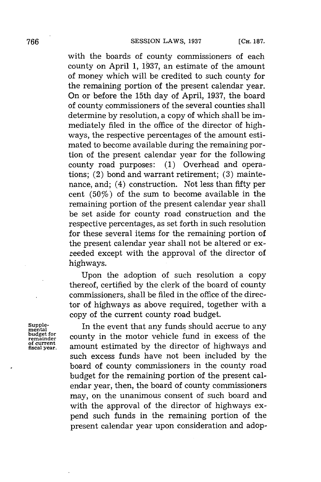with the boards of county commissioners of each county on April **1, 1937,** an estimate of the amount of money which will be credited to such county for the remaining portion of the present calendar year. On or before the 15th day of April, **1937,** the board of county commissioners of the several counties shall determine **by** resolution, a copy of which shall be immediately filed in the office of the director of highways, the respective percentages of the amount estimated to become available during the remaining portion of the present calendar year for the following county road purposes: **(1)** Overhead and operations; (2) bond and warrant retirement; **(3)** maintenance, and; (4) construction. Not less than fifty per cent *(50%)* of the sum to become available in the remaining portion of the present calendar year shall be set aside for county road construction and the respective percentages, as set forth in such resolution for these several items for the remaining portion of the present calendar year shall not be altered or exreeded except with the approval of the director of highways.

Upon the adoption of such resolution a copy thereof, certified **by** the clerk of the board of county commissioners, shall be filed in the office of the director of highways as above required, together with a copy of the current county road budget.

**of current**

Supple-<br>mental **In the event that any funds should accrue to any**<br>budget for **county** in the motor vehicle fund in excess of the budget for county in the motor vehicle fund in excess of the **fiscal year.** amount estimated **by** the director of highways and such excess funds have not been included **by** the board of county commissioners in the county road budget for the remaining portion of the present calendar year, then, the board of county commissioners may, on the unanimous consent of such board and with the approval of the director of highways expend such funds in the remaining portion of the present calendar year upon consideration and adop-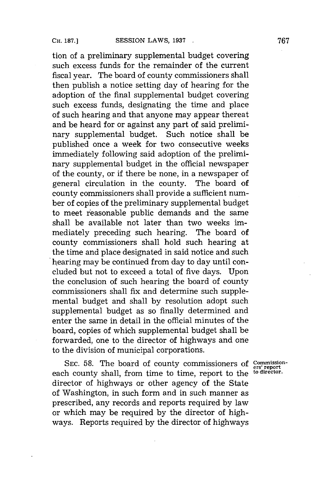tion of a preliminary supplemental budget covering such excess funds for the remainder of the current fiscal year. The board of county commissioners shall then publish a notice setting day of hearing for the adoption of the final supplemental budget covering such excess funds, designating the time and place of such hearing and that anyone may appear thereat and be heard for or against any part of said preliminary supplemental budget. Such notice shall be published once a week for two consecutive weeks immediately following said adoption of the preliminary supplemental budget in the official newspaper of the county, or if there be none, in a newspaper of general circulation in the county. The board of county commissioners shall provide a sufficient number of copies of the preliminary supplemental budget to meet reasonable public demands and the same shall be available not later than two weeks immediately preceding such hearing. The board of county commissioners shall hold such hearing at the time and place designated in said notice and such hearing may be continued from day to day until concluded but not to exceed a total of five days. Upon the conclusion of such hearing the board of county commissioners shall fix and determine such supplemental budget and shall **by** resolution adopt such supplemental budget as so finally determined and enter the same in detail in the official minutes of the board, copies of which supplemental budget shall be forwarded, one to the director of highways and one to the division of municipal corporations.

SEC. 58. The board of county commissioners of Commissioneach county shall, from time to time, report to the <sup>to director</sup>. director of highways or other agency of the State of Washington, in such form and in such manner as prescribed, any records and reports required **by** law or which may be required **by** the director of highways. Reports required **by** the director of highways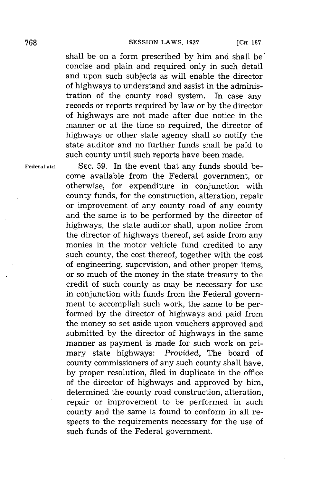shall be on a form prescribed **by** him and shall be concise and plain and required only in such detail and upon such subjects as will enable the director of highways to understand and assist in the administration of the county road system. In case any records or reports required **by** law or **by** the director of highways are not made after due notice in the manner or at the time so required, the director of highways or other state agency shall so notify the state auditor and no further funds shall be paid to such county until such reports have been made.

**Federal aid. SEC. 59.** In the event that any funds should become available from the Federal government, or otherwise, for expenditure in conjunction with county funds, for the construction, alteration, repair or improvement of any county road of any county and the same is to be performed **by** the director of highways, the state auditor shall, upon notice from the director of highways thereof, set aside from any monies in the motor vehicle fund credited to any such county, the cost thereof, together with the cost of engineering, supervision, and other proper items, or so much of the money in the state treasury to the credit of such county as may be necessary for use in conjunction with funds from the Federal government to accomplish such work, the same to be performed **by** the director of highways and paid from the money so set aside upon vouchers approved and submitted **by** the director of highways in the same manner as payment is made for such work on primary state highways: *Provided,* The board of county commissioners of any such county shall have, **by** proper resolution, filed in duplicate in the office of the director of highways and approved **by** him, determined the county road construction, alteration, repair or improvement to be performed in such county and the same is found to conform in all respects to the requirements necessary for the use of such funds of the Federal government.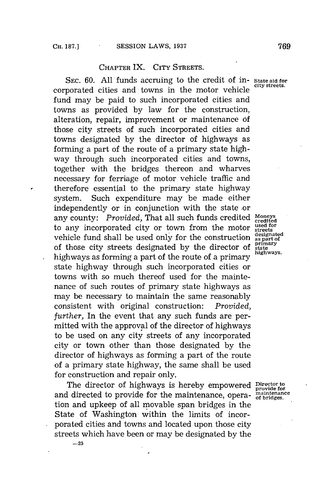## CHAPTER IX. CITY STREETS.

**SEC. 60. All** funds accruing to the credit of in- **State aid for** corporated cities and towns in the motor vehicle fund may be paid to such incorporated cities and towns as provided **by** law for the construction, alteration, repair, improvement or maintenance **of** those city streets of such incorporated cities and towns designated **by** the director of highways as forming a part of the route of a primary state highway through such incorporated cities and towns, together with the bridges thereon and wharves necessary for ferriage of motor vehicle traffic and therefore essential to the primary state highway system. Such expenditure may be made either independently or in conjunction with the state or any county: *Provided*, That all such funds credited Moneys to any incorporated city or town from the motor streets<br>replied for deal to used only for the construction designated vehicle fund shall be used only for the construction as part of the construction of the construction of  $\frac{1}{2}$ of those city streets designated by the director of state highways as forming a part of the route of a primary **highways.** state highway through such incorporated cities or towns with so much thereof used for the maintenance of such routes of primary state highways as may be necessary to maintain the same reasonably consistent with original construction: *Provided, further,* In the event that any such funds are permitted with the approval of the director of highways to be used on any city streets of any incorporated city or town other than those designated **by** the director of highways as forming a part of the route of a primary state highway, the same shall be used for construction and repair only.

The director of highways is hereby empowered **Director** to and directed to provide for the maintenance, opera- maintenance tion and upkeep of all movable span bridges in the State of Washington within the limits of incorporated cities and towns and located upon those city streets which have been or may be designated **by** the

**-25**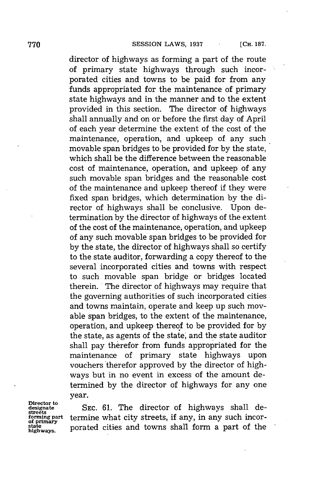director of highways as forming a part of the route of primary state highways through such incorporated cities and towns to be paid for from any funds appropriated for the maintenance of primary state highways and in the manner and to the extent provided in this section. The director of highways shall annually and on or before the first day of April of each year determine the extent of the cost of the maintenance, operation, and upkeep of any such movable span bridges to be provided for **by** the state, which shall be the difference between the reasonable cost of maintenance, operation, and upkeep of any such movable span bridges and the reasonable cost of the maintenance and upkeep thereof if they were fixed span bridges, which determination **by** the director of highways shall be conclusive. Upon determination **by** the director of highways of the extent of the cost of the maintenance, operation, and upkeep of any such movable span bridges to be provided for **by** the state, the director of highways shall so certify to the state auditor, forwarding a copy thereof to the several incorporated cities and towns with respect to such movable span bridge or bridges located therein. The director of highways may require that the governing authorities of such incorporated cities and towns maintain, operate and keep up such movable span bridges, to the extent of the maintenance, operation, and upkeep thereof to be provided for **by** the state, as agents of the state, and the state auditor shall pay therefor from funds appropriated for the maintenance of primary state highways upon vouchers therefor approved **by** the director of highways but in no event in excess of the amount determined **by** the director of highways for any one year.

**Director to streets of primary**

SEC. 61. The director of highways shall determine what city streets, if any, in any such incor**higways.** porated cities and towns shall form a part of the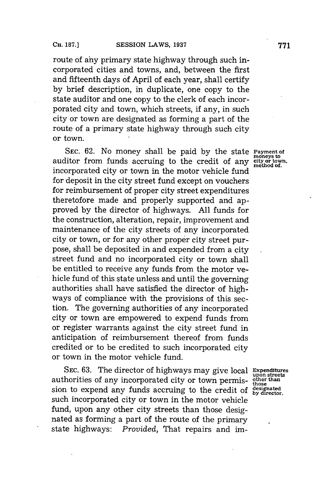route of ahy primary state highway through such incorporated cities and towns, and, between the first and fifteenth days of April of each year, shall certify **by** brief description, in duplicate, one copy to the state auditor and one copy to the clerk of each incorporated city and town, which streets, if any, in such city or town are designated as forming a part of the route of a primary state highway through such city or town.

**SEC. 62.** No money shall be paid **by** the state **Payment of** auditor from funds accruing to the credit of any city or town. incorporated city or town in the motor vehicle fund for deposit in the city street fund except on vouchers for reimbursement of proper city street expenditures theretofore made and properly supported and approved **by** the director of highways. **All** funds for the construction, alteration, repair, improvement and maintenance of the city streets of any incorporated city or town, or for any other proper city street purpose, shall be deposited in and expended from a city street fund and no incorporated city or town shall be entitled to receive any funds from the motor vehicle fund of this state unless and until the governing authorities shall have satisfied the director of highways of compliance with the provisions of this section. The governing authorities of any incorporated city or town are empowered to expend funds from or register warrants against the city street fund in anticipation of reimbursement thereof from funds credited or to be credited to such incorporated city or town in the motor vehicle fund.

SEC. 63. The director of highways may give local Expenditures<br>horities of any incorporated city or town permis-other than authorities of any incorporated city or town permis-  $\frac{other}{those}$ sion to expend any funds accruing to the credit of designated such incorporated city or town in the motor vehicle fund, upon any other city streets than those designated as forming a part of the route of the primary state highways: *Provided,* That repairs and im-

method of.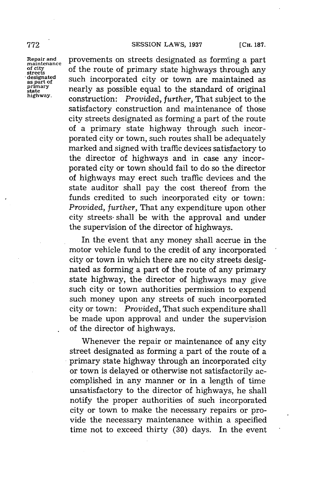Repair and<br>maintenance

Repair and provements on streets designated as forming a part<br>maintenance of the route of primary state highways through any for the route of primary state highways through any streets<br>streets<br>designated such incorporated eity or town are maintained as **SUCE IS NOTE 1** as part of as gent of a spart of mearly as possible equal to the standard of original **pary** nearly as possible equal to the standard of original **highway.** construction: *Provided, further,* That subject to the satisfactory construction and maintenance of those city streets designated as forming a part of the route of a primary state highway through such incorporated city or town, such routes shall be adequately marked and signed with traffic devices satisfactory to the director of highways and in case any incorporated city or town should fail to do so the director of highways may erect such traffic devices and the state auditor shall pay the cost thereof from the funds credited to such incorporated city or town: *Provided, further,* That any expenditure upon other city streets- shall be with the approval and under the supervision of the director of highways.

> In the event that any money shall accrue in the motor vehicle fund to the credit of any incorporated city or town in which there are no city streets designated as forming a part of the route of any primary state highway, the director of highways may give such city or town authorities permission to expend such money upon any streets of such incorporated city or town: *Provided,* That such expenditure shall be made upon approval and under the supervision of the director of highways.

> Whenever the repair or maintenance of any city street designated as forming a part of the route of a primary state highway through an incorporated city or town is delayed or otherwise not satisfactorily accomplished in any manner or in a length of time unsatisfactory to the director of highways, he shall notify the proper authorities of such incorporated city or town to make the necessary repairs or provide the necessary maintenance within a specified time not to exceed thirty **(30)** days. In the event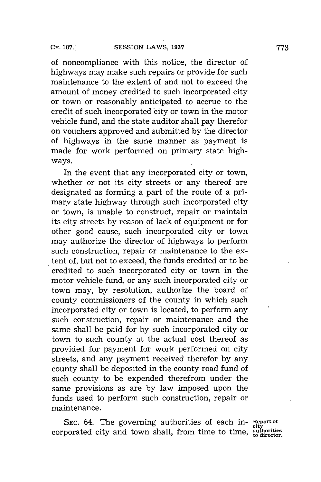of noncompliance with this notice, the director of highways may make such repairs or provide for such maintenance to the extent of and not to exceed the amount of money credited to such incorporated city or town or reasonably anticipated to accrue to the credit of such incorporated city or town in the motor vehicle fund, and the state auditor shall pay therefor on vouchers approved and submitted **by** the director of highways in the same manner as payment is made for work performed on primary state highways.

In the event that any incorporated city or town, whether or not its city streets or any thereof are designated as forming a part of the route of a primary state highway through such incorporated city or town, is unable to construct, repair or maintain. its city streets **by** reason of lack of equipment or for other good cause, such incorporated city or town may authorize the director of highways to perform such construction, repair or maintenance to the extent of, but not to exceed, the funds credited or to be credited to such incorporated city or town in the motor vehicle fund, or any such incorporated city or town may, **by** resolution, authorize the board of county commissioners of the county in which such incorporated city or town is located, to perform any such construction, repair or maintenance and the same shall be paid for **by** such incorporated city or town to such county at the actual cost thereof as provided for payment for work performed on city streets, and any payment received therefor **by** any county shall be deposited in the county road fund of such county to be expended therefrom under the same provisions as are **by** law imposed upon the funds used to perform such construction, repair or maintenance.

SEC.  $64$ . The governing authorities of each in-  $\frac{Report}{\text{city}}$ corporated city and town shall, from time to time, **authorities**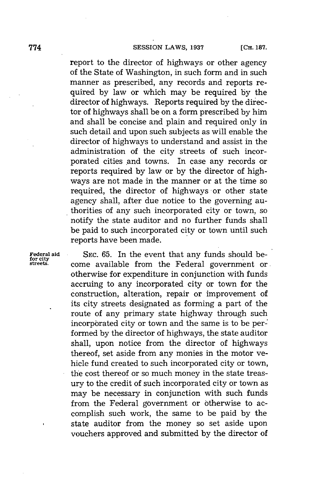report to the director of highways or other agency of the State of Washington, in such form and in such manner as prescribed, any records and reports required **by** law or which may be required **by** the director of highways. Reports required **by** the director of highways shall be on a form prescribed **by** him and shall be concise and plain and required only in such detail and upon such subjects as will enable the director of highways to understand and assist in the administration of the city streets of such incorporated cities and towns. In case any records or reports required **by** law or **by** the director of highways are not made in the manner or at the time so required, the director of highways or other state agency shall, after due notice to the governing authorities of any such incorporated city or town, so notify the state auditor and no further funds shall be paid to such incorporated city or town until such reports have been made.

**Federal aid** SEC. 65. In the event that any funds should be-<br>for city<br>streets are available from the Endoral government or come available from the Federal government or otherwise for expenditure in conjunction with funds accruing to any incorporated city or town for the construction, alteration, repair or improvement of its city streets designated as forming a part of the route of any primary state highway through such incorporated city or town and the same is to be performed **by** the director of highways, the state auditor shall, upon notice from the director of highways thereof, set aside from any monies in the motor vehicle fund created to such incorporated city or town, the cost thereof or so much money in the state treasury to the credit of such incorporated city or town as may be necessary in conjunction with such funds from the Federal government or otherwise to accomplish such work, the same to be paid **by** the state auditor from the money so set aside upon vouchers approved and submitted **by** the director of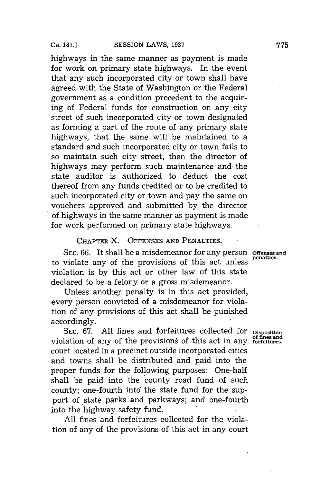highways in the same manner as payment is made for work on primary state highways. In the event that any such incorporated city or town shall have agreed with the State of Washington or the Federal government as a condition precedent to the acquiring of Federal funds for construction on any city street of such incorporated city or town designated as forming a part of the route of any primary state highways, that the same will be maintained to a standard and such incorporated city or town fails to so maintain such city street, then the director of highways may perform such maintenance and the state auditor is authorized to deduct the cost thereof from any funds credited or to be credited to such incorporated city or town and pay the same on vouchers approved and submitted **by** the director of highways in the same manner as payment is made for work performed on primary state highways.

**CHAPTER** X. **OFFENSES AND PENALTIES.**

**SEC. 66.** It shall be a misdemeanor for any person **offenses and** to violate any of the provisions of this act unless **penaes** violation is **by** this act or other law of this state declared to be a felony or a gross misdemeanor.

Unless another penalty is in this act provided, every person convicted of a misdemeanor for violation of any provisions of this act shall be punished accordingly.

**SEC. 67. All** fines and forfeitures collected for **Disposition of fines and** violation of any of the provisions of this act in any **forfeitures.** court located in a precinct outside incorporated cities and towns shall be distributed and paid into the proper funds for the following purposes: One-half shall be paid into the county road fund of such county; one-fourth into the state fund for the support of state parks and parkways; and one-fourth into the highway safety fund.

**All** fines and forfeitures collected for the violation of any of the provisions of this act in any court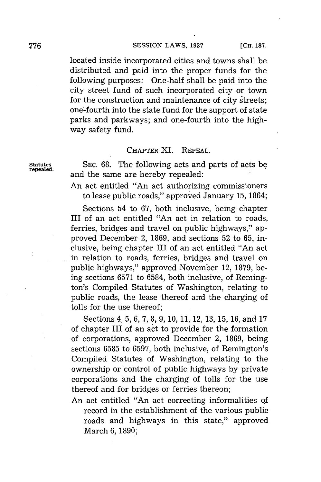located inside incorporated cities and towns shall be distributed and paid into the proper funds for the following purposes: One-half shall be paid into the city street fund of such incorporated city or town for the construction and maintenance of city streets; one-fourth into the state fund for the support of state parks and parkways; and one-fourth into the highway safety fund.

### **CHAPTER** XI. **REPEAL.**

**Statutes SEC. 68.** The following acts and parts of acts be and the same are hereby repealed:

> An act entitled "An act authorizing commissioners to lease public roads," approved January **15,** 1864;

> Sections 54 to **67,** both inclusive, being chapter III of an act entitled "An act in relation to roads, ferries, bridges and travel on public highways," approved December 2, **1869,** and sections **52** to **65,** inclusive, being chapter III of an act entitled "An act in relation to roads, ferries, bridges and travel on public highways," approved November 12, **1879,** being sections **6571** to **6584,** both inclusive, of Remington's Compiled Statutes of Washington, relating to public roads, the lease thereof and the charging of tolls for the use thereof;

> Sections 4, **5, 6, 7, 8, 9, 10, 11,** 12, **13, 15, 16,** and **17** of chapter III of an act to provide for the formation of corporations, approved December 2, **1869,** being sections **6585** to **6597,** both inclusive, of Remington's Compiled Statutes of Washington, relating to the ownership or control of public highways **by** private corporations and the charging of tolls for the use thereof and for bridges or ferries thereon;

> An act entitled "An act correcting informalities **of** record in the establishment of the various public roads and highways in this state," approved March **6, 1890;**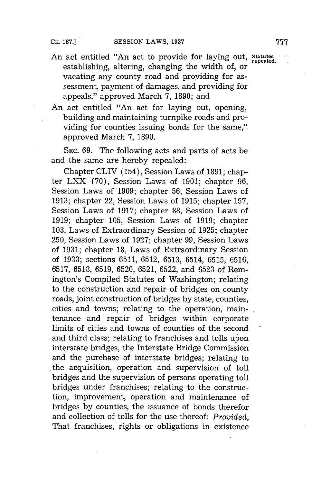- An act entitled **"An** act to provide for laying out, **statutes** establishing, altering, changing the width of, or vacating any county road and providing for assessment, payment of damages, and providing for appeals," approved March **7, 1890;** and
- An act entitled "An act for laying out, opening, building and maintaining turnpike roads and providing for counties issuing bonds for the same," approved March **7, 1890.**

**SEC. 69.** The following acts and parts of acts be and the same are hereby repealed:

Chapter CLIV (154), Session Laws of **1891;** chapter LXX **(70),** Session Laws of **1901;** chapter **96,** Session Laws of **1909;** chapter **56,** Session Laws of **1913;** chapter 22, Session Laws of **1915;** chapter **157,** Session Laws of **1917;** chapter **88,** Session Laws of **1919;** chapter **105,** Session Laws of **1919;** chapter **103,** Laws of Extraordinary Session of **1925;** chapter **250,** Session Laws of **1927;** chapter **99,** Session Laws of **1931;** chapter **18,** Laws of Extraordinary Session of **1933;** sections **6511, 6512, 6513,** 6514, **6515, 6516, 6517, 6518, 6519, 6520, 6521, 6522,** and **6523** of Remington's Compiled Statutes of Washington; relating to the construction and repair of bridges on county roads, joint construction of bridges **by** state, counties, cities and towns; relating to the operation, maintenance and repair of bridges within corporate limits of cities and towns of counties of the second and third class; relating to franchises and tolls upon interstate bridges, the Interstate Bridge Commission and the purchase of interstate bridges; relating to the acquisition, operation and supervision of toll bridges and the supervision of persons operating toll bridges under franchises; relating to the construction, improvement, operation and maintenance of bridges **by** counties, the issuance of bonds therefor and collection of tolls for the use thereof: *Provided,* That franchises, rights or obligations in existence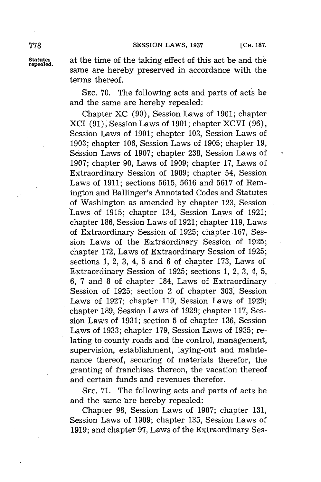**778 SESSION** LAWS, **<sup>1937</sup> [CH. 187.**

**Statutes** at the time of the taking effect of this act be and the **repealed.** same are hereby preserved in accordance with the terms thereof.

> **SEC. 70.** The following acts and parts of acts be and the same are hereby repealed:

Chapter XC **(90),** Session Laws of **1901;** chapter **XCI (91),** Session Laws of **1901;** chapter XCVI **(96),** Session Laws of **1901;** chapter **103,** Session Laws of **1903;** chapter **106,** Session Laws of **1905;** chapter **19,** Session Laws of **1907;** chapter **238,** Session Laws of **1907;** chapter **90,** Laws of **1909;** chapter **17,** Laws of Extraordinary Session of **1909;** chapter 54, Session Laws of **1911;** sections **5615, 5616** and **5617** of Remington and Ballinger's Annotated Codes and Statutes of Washington as amended **by** chapter **123,** Session Laws of **1915;** chapter 134, Session Laws of **1921;** chapter **186,** Session Laws of **1921;** chapter **119,** Laws of Extraordinary Session of **1925;** chapter **.167,** Session Laws of the Extraordinary Session of **1925;** chapter **172,** Laws of Extraordinary Session of **1925;** sections **1,** 2, **3,** 4, **5** and **6** of chapter **173,** Laws of Extraordinary Session of **1925;** sections **1,** 2, **3,** 4, **5, 6, 7** and **8** of chapter 184, Laws of Extraordinary Session of **1925;** section 2 of chapter **303,** Session Laws of **1927;** chapter **119,** Session Laws of **1929;** chapter 189, Session Laws of 1929; chapter 117, Session Laws of **1931;** section **5** of chapter **136,** Session Laws of **1933;** chapter **179,** Session Laws of **1935;** relating to county roads and the control, management, supervision, establishment, laying-out and maintenance thereof, securing of materials therefor, the granting of franchises thereon, the vacation thereof and certain funds and revenues therefor.

**SEC. 71.** The following acts and parts of acts be and the same are hereby repealed:

Chapter **98,** Session Laws of **1907;** chapter **131,** Session Laws of **1909;** chapter **135,** Session Laws of **1919;** and chapter **97,** Laws of the Extraordinary Ses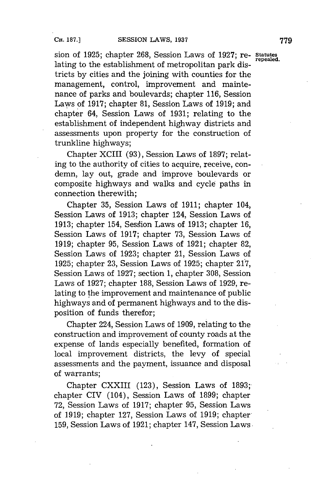sion of **1925;** chapter **268,** Session Laws of **1927;** re- **Statutes** lating to the establishment of metropolitan park districts **by** cities and the joining with counties for the management, control, improvement and maintenance of parks and boulevards; chapter **116,** Session Laws of **1917;** chapter **81,** Session Laws of **1919;** and chapter 64, Session Laws of **1931;** relating to the establishment of independent highway districts and assessments upon property for the construction of trunkline highways;

Chapter XCIII **(93),** Session Laws of **1897;** relating to the authority of cities to acquire, receive, condemn, lay out, grade and improve boulevards or composite highways and walks and cycle paths in connection therewith;

Chapter **35,** Session Laws of **1911;** chapter 104, Session Laws of **1913;** chapter 124, Session Laws of **1913;** chapter 154, Sesdion Laws of **1913;** chapter **16,** Session Laws of **1917;** chapter **73,** Session Laws of **1919;** chapter **95,** Session Laws of **1921;** chapter **82,** Session Laws of **1923;** chapter 21, Session Laws of **1925;** chapter **23,** Session Laws of **1925;** chapter **217,** Session Laws of **1927;** section **1,** chapter **308,** Session Laws of **1927;** chapter **188,** Session Laws of **1929,,** relating to the improvement and maintenance of public highways and of permanent highways and to the disposition of funds therefor;

Chapter 224, Session Laws of **1909,** relating to the construction and improvement of county roads at the expense of lands especially benefited, formation of local improvement districts, the levy of special assessments and the payment, issuance and disposal of warrants;

Chapter CXXIII **(123),** Session Laws of **1893;** chapter CIV (104), Session Laws of **1899;** chapter **72,** Session Laws of **1917;** chapter **95,** Session Laws of **1919;** chapter **127,** Session Laws of **1919;** chapter-**159,** Session Laws of **1921;** chapter 147, Session Laws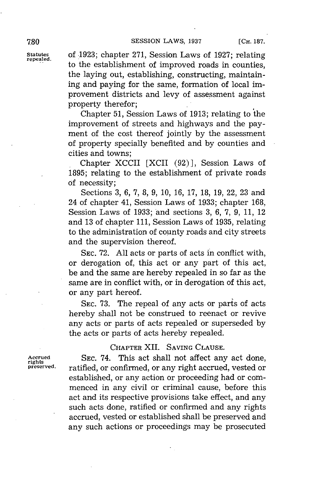**statutes** of **.1923;** chapter **271,** Session Laws of **1927;** relating **repealed.** to the establishment of improved roads in counties, the laying out, establishing, constructing, maintaining and paying for the same, formation of local improvement districts and levy of assessment against property therefor;

> Chapter **51,** Session Laws of **1913;** relating to the improvement of streets and highways and the payment of the cost thereof jointly **by** the assessment of property specially benefited and **by** counties and cities and towns;

> Chapter XCCII [XCII **(92) ],** Session Laws of **1895;** relating to the establishment of private roads **of** necessity;

> Sections **3, 6, 7, 8, 9, 10, 16, 17, 18, 19,** 22, **23** and 24 of chapter 41, Session Laws of **1933;** chapter **168,** Session Laws of **1933;** and sections **3, 6, 7, 9, 11,** 12 and **13** of chapter **111,** Session Laws of **1935,** relating to the administration of county roads and city streets and the supervision thereof.

> **SEC. 72. All** acts or parts of acts in conflict with, or derogation of, this act or any part of this act, be and the same are hereby repealed in so far as the same are in conflict with, or in derogation of this act, or any part hereof.

> **SEC. 73.** The repeal of any acts or paris of acts hereby shall not be construed to reenact or revive any acts or parts of acts repealed or superseded **by** the acts or parts of acts hereby repealed.

## CHAPTER XII. SAVING **CLAUSE.**

Accrued **SEC. 74. This act shall not affect any act done,**<br>rights<br>preserved. **ratified** or confirmed or any right accrued vested or ratified, or confirmed, or any right accrued, vested or established, or any action or proceeding had or commenced in any civil or criminal cause, before this act and its respective provisions take effect, and any such acts done, ratified or confirmed and any rights accrued, vested or established shall be preserved and any such actions or proceedings may be prosecuted